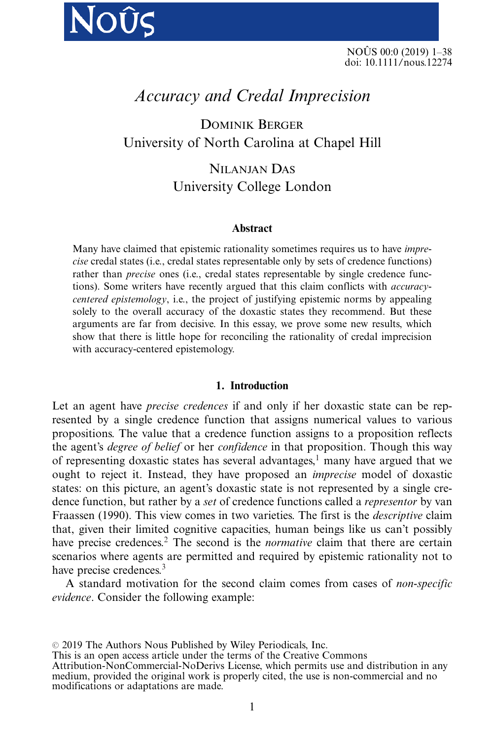NOUS  $00:0$  (2019) 1–38 doi: 10.1111/nous.12274

# *Accuracy and Credal Imprecision*

JOÛS

DOMINIK BERGER University of North Carolina at Chapel Hill

> NILANJAN DAS University College London

#### **Abstract**

Many have claimed that epistemic rationality sometimes requires us to have *imprecise* credal states (i.e., credal states representable only by sets of credence functions) rather than *precise* ones (i.e., credal states representable by single credence functions). Some writers have recently argued that this claim conflicts with *accuracycentered epistemology*, i.e., the project of justifying epistemic norms by appealing solely to the overall accuracy of the doxastic states they recommend. But these arguments are far from decisive. In this essay, we prove some new results, which show that there is little hope for reconciling the rationality of credal imprecision with accuracy-centered epistemology.

## **1. Introduction**

Let an agent have *precise credences* if and only if her doxastic state can be represented by a single credence function that assigns numerical values to various propositions. The value that a credence function assigns to a proposition reflects the agent's *degree of belief* or her *confidence* in that proposition. Though this way of representing doxastic states has several advantages,<sup>1</sup> many have argued that we ought to reject it. Instead, they have proposed an *imprecise* model of doxastic states: on this picture, an agent's doxastic state is not represented by a single credence function, but rather by a *set* of credence functions called a *representor* by van Fraassen (1990). This view comes in two varieties. The first is the *descriptive* claim that, given their limited cognitive capacities, human beings like us can't possibly have precise credences.<sup>2</sup> The second is the *normative* claim that there are certain scenarios where agents are permitted and required by epistemic rationality not to have precise credences.<sup>3</sup>

A standard motivation for the second claim comes from cases of *non-specific evidence*. Consider the following example:

Attribution-NonCommercial-NoDerivs License, which permits use and distribution in any medium, provided the original work is properly cited, the use is non-commercial and no modifications or adaptations are made.

 $\odot$  2019 The Authors Nous Published by Wiley Periodicals, Inc.

This is an open access article under the terms of the Creative Commons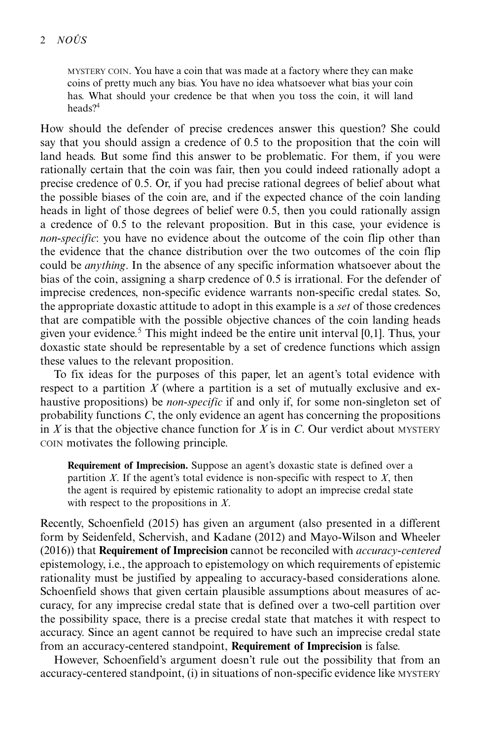MYSTERY COIN. You have a coin that was made at a factory where they can make coins of pretty much any bias. You have no idea whatsoever what bias your coin has. What should your credence be that when you toss the coin, it will land heads?<sup>4</sup>

How should the defender of precise credences answer this question? She could say that you should assign a credence of 0.5 to the proposition that the coin will land heads. But some find this answer to be problematic. For them, if you were rationally certain that the coin was fair, then you could indeed rationally adopt a precise credence of 0.5. Or, if you had precise rational degrees of belief about what the possible biases of the coin are, and if the expected chance of the coin landing heads in light of those degrees of belief were 0.5, then you could rationally assign a credence of 0.5 to the relevant proposition. But in this case, your evidence is *non-specific*: you have no evidence about the outcome of the coin flip other than the evidence that the chance distribution over the two outcomes of the coin flip could be *anything*. In the absence of any specific information whatsoever about the bias of the coin, assigning a sharp credence of 0.5 is irrational. For the defender of imprecise credences, non-specific evidence warrants non-specific credal states. So, the appropriate doxastic attitude to adopt in this example is a *set* of those credences that are compatible with the possible objective chances of the coin landing heads given your evidence.<sup>5</sup> This might indeed be the entire unit interval [0,1]. Thus, your doxastic state should be representable by a set of credence functions which assign these values to the relevant proposition.

To fix ideas for the purposes of this paper, let an agent's total evidence with respect to a partition *X* (where a partition is a set of mutually exclusive and exhaustive propositions) be *non-specific* if and only if, for some non-singleton set of probability functions *C*, the only evidence an agent has concerning the propositions in *X* is that the objective chance function for *X* is in *C*. Our verdict about MYSTERY COIN motivates the following principle.

**Requirement of Imprecision.** Suppose an agent's doxastic state is defined over a partition  $X$ . If the agent's total evidence is non-specific with respect to  $X$ , then the agent is required by epistemic rationality to adopt an imprecise credal state with respect to the propositions in *X*.

Recently, Schoenfield (2015) has given an argument (also presented in a different form by Seidenfeld, Schervish, and Kadane (2012) and Mayo-Wilson and Wheeler (2016)) that **Requirement of Imprecision** cannot be reconciled with *accuracy-centered* epistemology, i.e., the approach to epistemology on which requirements of epistemic rationality must be justified by appealing to accuracy-based considerations alone. Schoenfield shows that given certain plausible assumptions about measures of accuracy, for any imprecise credal state that is defined over a two-cell partition over the possibility space, there is a precise credal state that matches it with respect to accuracy. Since an agent cannot be required to have such an imprecise credal state from an accuracy-centered standpoint, **Requirement of Imprecision** is false.

However, Schoenfield's argument doesn't rule out the possibility that from an accuracy-centered standpoint, (i) in situations of non-specific evidence like MYSTERY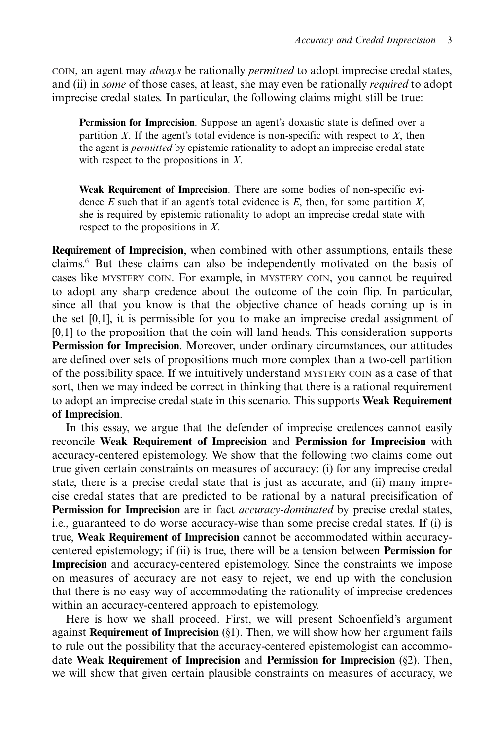COIN, an agent may *always* be rationally *permitted* to adopt imprecise credal states, and (ii) in *some* of those cases, at least, she may even be rationally *required* to adopt imprecise credal states. In particular, the following claims might still be true:

**Permission for Imprecision**. Suppose an agent's doxastic state is defined over a partition  $X$ . If the agent's total evidence is non-specific with respect to  $X$ , then the agent is *permitted* by epistemic rationality to adopt an imprecise credal state with respect to the propositions in *X*.

**Weak Requirement of Imprecision**. There are some bodies of non-specific evidence *E* such that if an agent's total evidence is *E*, then, for some partition *X*, she is required by epistemic rationality to adopt an imprecise credal state with respect to the propositions in *X*.

**Requirement of Imprecision**, when combined with other assumptions, entails these claims.<sup>6</sup> But these claims can also be independently motivated on the basis of cases like MYSTERY COIN. For example, in MYSTERY COIN, you cannot be required to adopt any sharp credence about the outcome of the coin flip. In particular, since all that you know is that the objective chance of heads coming up is in the set [0,1], it is permissible for you to make an imprecise credal assignment of [0,1] to the proposition that the coin will land heads. This consideration supports **Permission for Imprecision**. Moreover, under ordinary circumstances, our attitudes are defined over sets of propositions much more complex than a two-cell partition of the possibility space. If we intuitively understand MYSTERY COIN as a case of that sort, then we may indeed be correct in thinking that there is a rational requirement to adopt an imprecise credal state in this scenario. This supports **Weak Requirement of Imprecision**.

In this essay, we argue that the defender of imprecise credences cannot easily reconcile **Weak Requirement of Imprecision** and **Permission for Imprecision** with accuracy-centered epistemology. We show that the following two claims come out true given certain constraints on measures of accuracy: (i) for any imprecise credal state, there is a precise credal state that is just as accurate, and (ii) many imprecise credal states that are predicted to be rational by a natural precisification of **Permission for Imprecision** are in fact *accuracy-dominated* by precise credal states, i.e., guaranteed to do worse accuracy-wise than some precise credal states. If (i) is true, **Weak Requirement of Imprecision** cannot be accommodated within accuracycentered epistemology; if (ii) is true, there will be a tension between **Permission for Imprecision** and accuracy-centered epistemology. Since the constraints we impose on measures of accuracy are not easy to reject, we end up with the conclusion that there is no easy way of accommodating the rationality of imprecise credences within an accuracy-centered approach to epistemology.

Here is how we shall proceed. First, we will present Schoenfield's argument against **Requirement of Imprecision** (§1). Then, we will show how her argument fails to rule out the possibility that the accuracy-centered epistemologist can accommodate **Weak Requirement of Imprecision** and **Permission for Imprecision** (§2). Then, we will show that given certain plausible constraints on measures of accuracy, we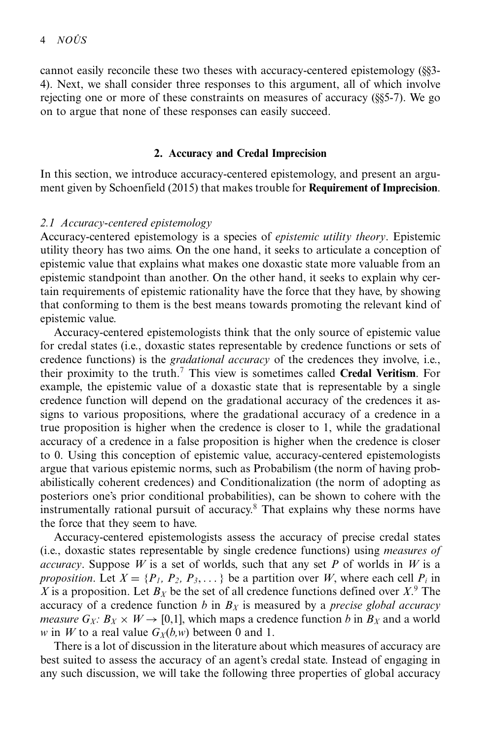cannot easily reconcile these two theses with accuracy-centered epistemology (§§3- 4). Next, we shall consider three responses to this argument, all of which involve rejecting one or more of these constraints on measures of accuracy (§§5-7). We go on to argue that none of these responses can easily succeed.

## **2. Accuracy and Credal Imprecision**

In this section, we introduce accuracy-centered epistemology, and present an argument given by Schoenfield (2015) that makes trouble for **Requirement of Imprecision**.

## *2.1 Accuracy-centered epistemology*

Accuracy-centered epistemology is a species of *epistemic utility theory*. Epistemic utility theory has two aims. On the one hand, it seeks to articulate a conception of epistemic value that explains what makes one doxastic state more valuable from an epistemic standpoint than another. On the other hand, it seeks to explain why certain requirements of epistemic rationality have the force that they have, by showing that conforming to them is the best means towards promoting the relevant kind of epistemic value.

Accuracy-centered epistemologists think that the only source of epistemic value for credal states (i.e., doxastic states representable by credence functions or sets of credence functions) is the *gradational accuracy* of the credences they involve, i.e., their proximity to the truth.<sup>7</sup> This view is sometimes called **Credal Veritism**. For example, the epistemic value of a doxastic state that is representable by a single credence function will depend on the gradational accuracy of the credences it assigns to various propositions, where the gradational accuracy of a credence in a true proposition is higher when the credence is closer to 1, while the gradational accuracy of a credence in a false proposition is higher when the credence is closer to 0. Using this conception of epistemic value, accuracy-centered epistemologists argue that various epistemic norms, such as Probabilism (the norm of having probabilistically coherent credences) and Conditionalization (the norm of adopting as posteriors one's prior conditional probabilities), can be shown to cohere with the instrumentally rational pursuit of accuracy.8 That explains why these norms have the force that they seem to have.

Accuracy-centered epistemologists assess the accuracy of precise credal states (i.e., doxastic states representable by single credence functions) using *measures of accuracy*. Suppose *W* is a set of worlds, such that any set *P* of worlds in *W* is a *proposition*. Let  $X = \{P_1, P_2, P_3, \ldots\}$  be a partition over *W*, where each cell  $P_i$  in X is a proposition. Let  $B_X$  be the set of all credence functions defined over  $X$ <sup>9</sup>. The accuracy of a credence function *b* in  $B<sub>X</sub>$  is measured by a *precise global accuracy measure*  $G_X$ :  $B_X \times W \rightarrow [0,1]$ , which maps a credence function *b* in  $B_X$  and a world *w* in *W* to a real value  $G_X(b,w)$  between 0 and 1.

There is a lot of discussion in the literature about which measures of accuracy are best suited to assess the accuracy of an agent's credal state. Instead of engaging in any such discussion, we will take the following three properties of global accuracy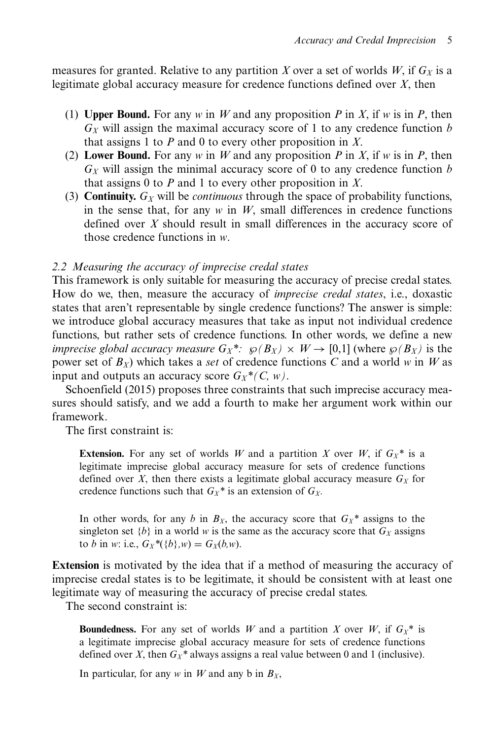measures for granted. Relative to any partition *X* over a set of worlds *W*, if  $G_X$  is a legitimate global accuracy measure for credence functions defined over *X*, then

- (1) **Upper Bound.** For any *w* in *W* and any proposition *P* in *X*, if *w* is in *P*, then  $G_X$  will assign the maximal accuracy score of 1 to any credence function *b* that assigns 1 to *P* and 0 to every other proposition in *X*.
- (2) **Lower Bound.** For any  $w$  in  $W$  and any proposition  $P$  in  $X$ , if  $w$  is in  $P$ , then  $G_X$  will assign the minimal accuracy score of 0 to any credence function *b* that assigns 0 to *P* and 1 to every other proposition in *X*.
- (3) **Continuity.**  $G_X$  will be *continuous* through the space of probability functions, in the sense that, for any  $w$  in  $W$ , small differences in credence functions defined over *X* should result in small differences in the accuracy score of those credence functions in *w*.

# *2.2 Measuring the accuracy of imprecise credal states*

This framework is only suitable for measuring the accuracy of precise credal states. How do we, then, measure the accuracy of *imprecise credal states*, i.e., doxastic states that aren't representable by single credence functions? The answer is simple: we introduce global accuracy measures that take as input not individual credence functions, but rather sets of credence functions. In other words, we define a new *imprecise global accuracy measure*  $G_X^*$ :  $\wp(B_X) \times W \to [0,1]$  (where  $\wp(B_X)$  is the power set of  $B_X$ ) which takes a *set* of credence functions C and a world *w* in W as input and outputs an accuracy score  $G_X^*(C, w)$ .

Schoenfield (2015) proposes three constraints that such imprecise accuracy measures should satisfy, and we add a fourth to make her argument work within our framework.

The first constraint is:

**Extension.** For any set of worlds *W* and a partition *X* over *W*, if  $G_X^*$  is a legitimate imprecise global accuracy measure for sets of credence functions defined over *X*, then there exists a legitimate global accuracy measure  $G_X$  for credence functions such that  $G_X^*$  is an extension of  $G_X$ .

In other words, for any *b* in  $B_X$ , the accuracy score that  $G_X^*$  assigns to the singleton set  ${b}$  in a world *w* is the same as the accuracy score that  $G_X$  assigns to *b* in *w*: i.e.,  $G_X^*(\{b\}, w) = G_X(b, w)$ .

**Extension** is motivated by the idea that if a method of measuring the accuracy of imprecise credal states is to be legitimate, it should be consistent with at least one legitimate way of measuring the accuracy of precise credal states.

The second constraint is:

**Boundedness.** For any set of worlds *W* and a partition *X* over *W*, if  $G_X^*$  is a legitimate imprecise global accuracy measure for sets of credence functions defined over *X*, then  $G_X^*$  always assigns a real value between 0 and 1 (inclusive).

In particular, for any *w* in *W* and any *b* in  $B_X$ ,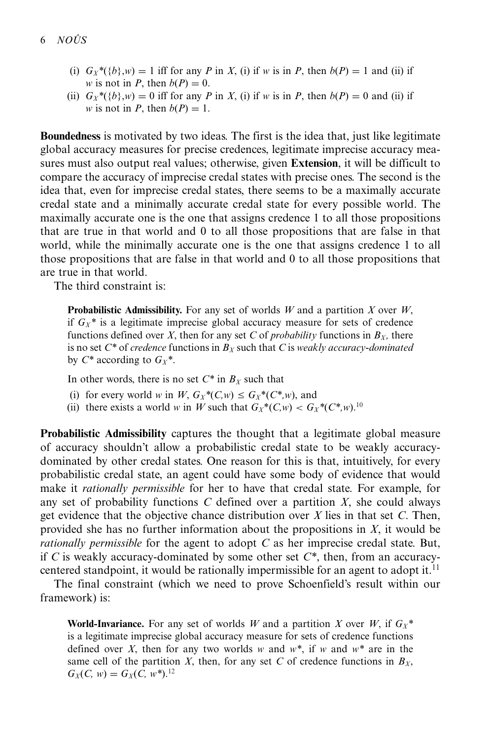- (i)  $G_X^*(\{b\}, w) = 1$  iff for any *P* in *X*, (i) if *w* is in *P*, then  $b(P) = 1$  and (ii) if *w* is not in *P*, then  $b(P) = 0$ .
- (ii)  $G_X^*(\{b\}, w) = 0$  iff for any *P* in *X*, (i) if *w* is in *P*, then  $b(P) = 0$  and (ii) if *w* is not in *P*, then  $b(P) = 1$ .

**Boundedness** is motivated by two ideas. The first is the idea that, just like legitimate global accuracy measures for precise credences, legitimate imprecise accuracy measures must also output real values; otherwise, given **Extension**, it will be difficult to compare the accuracy of imprecise credal states with precise ones. The second is the idea that, even for imprecise credal states, there seems to be a maximally accurate credal state and a minimally accurate credal state for every possible world. The maximally accurate one is the one that assigns credence 1 to all those propositions that are true in that world and 0 to all those propositions that are false in that world, while the minimally accurate one is the one that assigns credence 1 to all those propositions that are false in that world and 0 to all those propositions that are true in that world.

The third constraint is:

**Probabilistic Admissibility.** For any set of worlds *W* and a partition *X* over *W*, if  $G_X^*$  is a legitimate imprecise global accuracy measure for sets of credence functions defined over *X*, then for any set *C* of *probability* functions in  $B_X$ , there is no set  $C^*$  of *credence* functions in  $B_X$  such that C is *weakly accuracy-dominated* by  $C^*$  according to  $G_X^*$ .

In other words, there is no set  $C^*$  in  $B_X$  such that

- (i) for every world *w* in *W*,  $G_X^*(C, w) \leq G_X^*(C^*, w)$ , and
- (ii) there exists a world *w* in *W* such that  $G_X^*(C, w) < G_X^*(C^*, w)$ .<sup>10</sup>

**Probabilistic Admissibility** captures the thought that a legitimate global measure of accuracy shouldn't allow a probabilistic credal state to be weakly accuracydominated by other credal states. One reason for this is that, intuitively, for every probabilistic credal state, an agent could have some body of evidence that would make it *rationally permissible* for her to have that credal state. For example, for any set of probability functions *C* defined over a partition *X*, she could always get evidence that the objective chance distribution over *X* lies in that set *C*. Then, provided she has no further information about the propositions in *X*, it would be *rationally permissible* for the agent to adopt *C* as her imprecise credal state. But, if *C* is weakly accuracy-dominated by some other set *C\**, then, from an accuracycentered standpoint, it would be rationally impermissible for an agent to adopt it.<sup>11</sup>

The final constraint (which we need to prove Schoenfield's result within our framework) is:

**World-Invariance.** For any set of worlds *W* and a partition *X* over *W*, if  $G_X^*$ is a legitimate imprecise global accuracy measure for sets of credence functions defined over *X*, then for any two worlds *w* and *w\**, if *w* and *w\** are in the same cell of the partition *X*, then, for any set *C* of credence functions in  $B_X$ ,  $G_X(C, w) = G_X(C, w^*)$ .<sup>12</sup>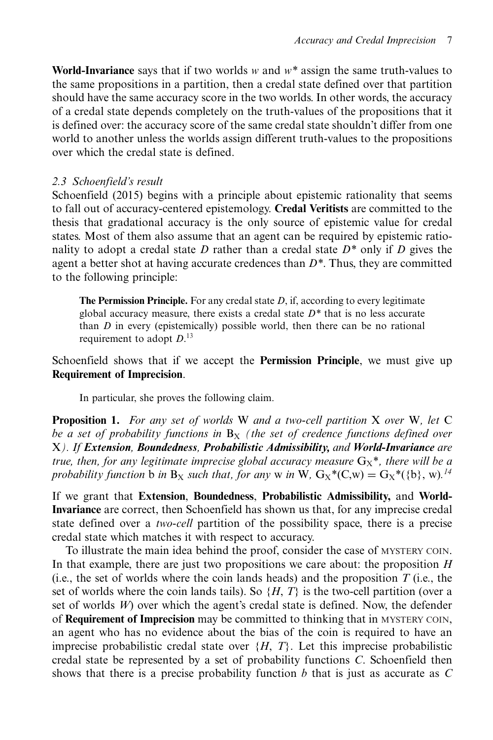**World-Invariance** says that if two worlds *w* and *w\** assign the same truth-values to the same propositions in a partition, then a credal state defined over that partition should have the same accuracy score in the two worlds. In other words, the accuracy of a credal state depends completely on the truth-values of the propositions that it is defined over: the accuracy score of the same credal state shouldn't differ from one world to another unless the worlds assign different truth-values to the propositions over which the credal state is defined.

## *2.3 Schoenfield's result*

Schoenfield (2015) begins with a principle about epistemic rationality that seems to fall out of accuracy-centered epistemology. **Credal Veritists** are committed to the thesis that gradational accuracy is the only source of epistemic value for credal states. Most of them also assume that an agent can be required by epistemic rationality to adopt a credal state *D* rather than a credal state *D\** only if *D* gives the agent a better shot at having accurate credences than *D\**. Thus, they are committed to the following principle:

**The Permission Principle.** For any credal state *D*, if, according to every legitimate global accuracy measure, there exists a credal state *D\** that is no less accurate than *D* in every (epistemically) possible world, then there can be no rational requirement to adopt *D*. 13

Schoenfield shows that if we accept the **Permission Principle**, we must give up **Requirement of Imprecision**.

In particular, she proves the following claim.

**Proposition 1.** *For any set of worlds* W *and a two-cell partition* X *over* W*, let* C *be a set of probability functions in*  $B<sub>X</sub>$  *(the set of credence functions defined over* X*). If Extension, Boundedness, Probabilistic Admissibility, and World-Invariance are true, then, for any legitimate imprecise global accuracy measure*  $G_X^*$ *, there will be a probability function* b *in*  $B_X$  *such that, for any* w *in* W,  $G_X^*(C,w) = G_X^*(\{b\}, w)$ .<sup>14</sup>

If we grant that **Extension**, **Boundedness**, **Probabilistic Admissibility,** and **World-Invariance** are correct, then Schoenfield has shown us that, for any imprecise credal state defined over a *two-cell* partition of the possibility space, there is a precise credal state which matches it with respect to accuracy.

To illustrate the main idea behind the proof, consider the case of MYSTERY COIN. In that example, there are just two propositions we care about: the proposition *H* (i.e., the set of worlds where the coin lands heads) and the proposition *T* (i.e., the set of worlds where the coin lands tails). So  $\{H, T\}$  is the two-cell partition (over a set of worlds *W*) over which the agent's credal state is defined. Now, the defender of **Requirement of Imprecision** may be committed to thinking that in MYSTERY COIN, an agent who has no evidence about the bias of the coin is required to have an imprecise probabilistic credal state over  $\{H, T\}$ . Let this imprecise probabilistic credal state be represented by a set of probability functions *C*. Schoenfield then shows that there is a precise probability function *b* that is just as accurate as *C*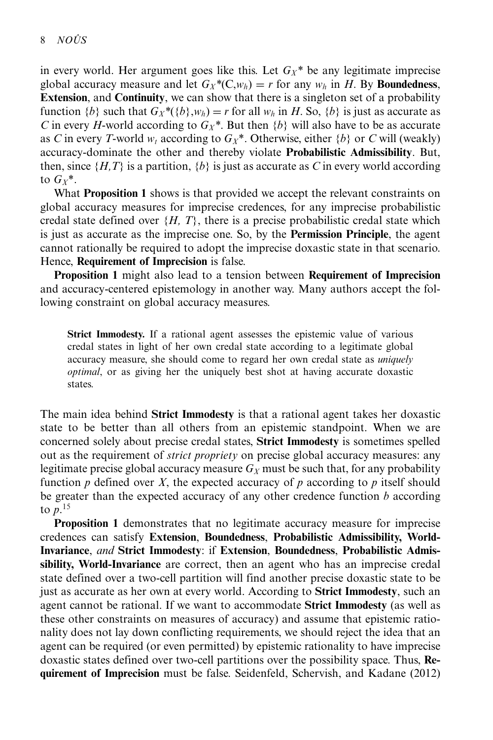in every world. Her argument goes like this. Let  $G_X^*$  be any legitimate imprecise global accuracy measure and let  $G_X^*(C, w_h) = r$  for any  $w_h$  in *H*. By **Boundedness**, **Extension**, and **Continuity**, we can show that there is a singleton set of a probability function  $\{b\}$  such that  $G_X^*(\{b\}, w_h) = r$  for all  $w_h$  in *H*. So,  $\{b\}$  is just as accurate as *C* in every *H*-world according to  $G_X^*$ . But then  ${b}$  will also have to be as accurate as *C* in every *T*-world  $w_t$  according to  $G_X^*$ . Otherwise, either  ${b}$  or *C* will (weakly) accuracy-dominate the other and thereby violate **Probabilistic Admissibility**. But, then, since  $\{H, T\}$  is a partition,  $\{b\}$  is just as accurate as *C* in every world according to  $G_X^*$ .

What **Proposition 1** shows is that provided we accept the relevant constraints on global accuracy measures for imprecise credences, for any imprecise probabilistic credal state defined over  $\{H, T\}$ , there is a precise probabilistic credal state which is just as accurate as the imprecise one. So, by the **Permission Principle**, the agent cannot rationally be required to adopt the imprecise doxastic state in that scenario. Hence, **Requirement of Imprecision** is false.

**Proposition 1** might also lead to a tension between **Requirement of Imprecision** and accuracy-centered epistemology in another way. Many authors accept the following constraint on global accuracy measures.

**Strict Immodesty.** If a rational agent assesses the epistemic value of various credal states in light of her own credal state according to a legitimate global accuracy measure, she should come to regard her own credal state as *uniquely optimal*, or as giving her the uniquely best shot at having accurate doxastic states.

The main idea behind **Strict Immodesty** is that a rational agent takes her doxastic state to be better than all others from an epistemic standpoint. When we are concerned solely about precise credal states, **Strict Immodesty** is sometimes spelled out as the requirement of *strict propriety* on precise global accuracy measures: any legitimate precise global accuracy measure  $G_X$  must be such that, for any probability function  $p$  defined over  $X$ , the expected accuracy of  $p$  according to  $p$  itself should be greater than the expected accuracy of any other credence function *b* according to *p*. 15

**Proposition 1** demonstrates that no legitimate accuracy measure for imprecise credences can satisfy **Extension**, **Boundedness**, **Probabilistic Admissibility, World-Invariance**, *and* **Strict Immodesty**: if **Extension**, **Boundedness**, **Probabilistic Admissibility, World-Invariance** are correct, then an agent who has an imprecise credal state defined over a two-cell partition will find another precise doxastic state to be just as accurate as her own at every world. According to **Strict Immodesty**, such an agent cannot be rational. If we want to accommodate **Strict Immodesty** (as well as these other constraints on measures of accuracy) and assume that epistemic rationality does not lay down conflicting requirements, we should reject the idea that an agent can be required (or even permitted) by epistemic rationality to have imprecise doxastic states defined over two-cell partitions over the possibility space. Thus, **Requirement of Imprecision** must be false. Seidenfeld, Schervish, and Kadane (2012)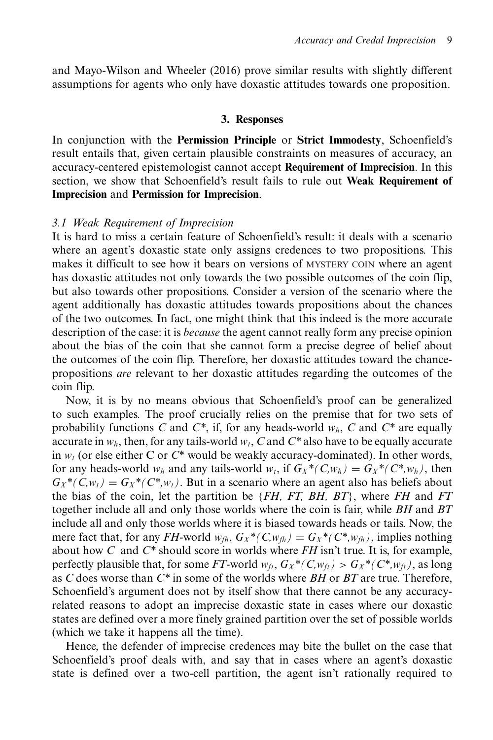and Mayo-Wilson and Wheeler (2016) prove similar results with slightly different assumptions for agents who only have doxastic attitudes towards one proposition.

## **3. Responses**

In conjunction with the **Permission Principle** or **Strict Immodesty**, Schoenfield's result entails that, given certain plausible constraints on measures of accuracy, an accuracy-centered epistemologist cannot accept **Requirement of Imprecision**. In this section, we show that Schoenfield's result fails to rule out **Weak Requirement of Imprecision** and **Permission for Imprecision**.

## *3.1 Weak Requirement of Imprecision*

It is hard to miss a certain feature of Schoenfield's result: it deals with a scenario where an agent's doxastic state only assigns credences to two propositions. This makes it difficult to see how it bears on versions of MYSTERY COIN where an agent has doxastic attitudes not only towards the two possible outcomes of the coin flip, but also towards other propositions. Consider a version of the scenario where the agent additionally has doxastic attitudes towards propositions about the chances of the two outcomes. In fact, one might think that this indeed is the more accurate description of the case: it is *because* the agent cannot really form any precise opinion about the bias of the coin that she cannot form a precise degree of belief about the outcomes of the coin flip. Therefore, her doxastic attitudes toward the chancepropositions *are* relevant to her doxastic attitudes regarding the outcomes of the coin flip.

Now, it is by no means obvious that Schoenfield's proof can be generalized to such examples. The proof crucially relies on the premise that for two sets of probability functions *C* and  $C^*$ , if, for any heads-world  $w_h$ , *C* and  $C^*$  are equally accurate in  $w_h$ , then, for any tails-world  $w_t$ , C and  $C^*$  also have to be equally accurate in *wt* (or else either C or *C*\* would be weakly accuracy-dominated). In other words, for any heads-world  $w_h$  and any tails-world  $w_t$ , if  $G_X^*(C, w_h) = G_X^*(C^*, w_h)$ , then  $G_X^*(C, w_t) = G_X^*(C^*, w_t)$ . But in a scenario where an agent also has beliefs about the bias of the coin, let the partition be {*FH, FT, BH, BT*}, where *FH* and *FT* together include all and only those worlds where the coin is fair, while *BH* and *BT* include all and only those worlds where it is biased towards heads or tails. Now, the mere fact that, for any *FH*-world  $w_{fh}$ ,  $G_X^*(C,w_{fh}) = G_X^*(C^*,w_{fh})$ , implies nothing about how *C* and *C\** should score in worlds where *FH* isn't true. It is, for example, perfectly plausible that, for some *FT*-world  $w_f$ ,  $G_X^*(C, w_f) > G_X^*(C^*, w_f)$ , as long as *C* does worse than *C\** in some of the worlds where *BH* or *BT* are true. Therefore, Schoenfield's argument does not by itself show that there cannot be any accuracyrelated reasons to adopt an imprecise doxastic state in cases where our doxastic states are defined over a more finely grained partition over the set of possible worlds (which we take it happens all the time).

Hence, the defender of imprecise credences may bite the bullet on the case that Schoenfield's proof deals with, and say that in cases where an agent's doxastic state is defined over a two-cell partition, the agent isn't rationally required to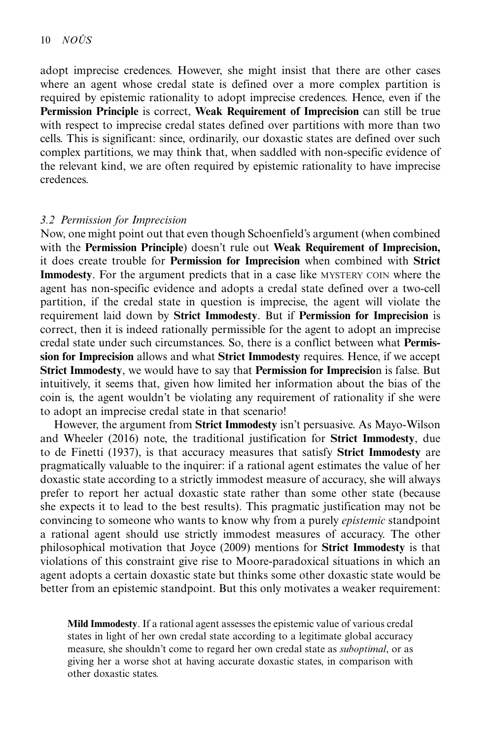adopt imprecise credences. However, she might insist that there are other cases where an agent whose credal state is defined over a more complex partition is required by epistemic rationality to adopt imprecise credences. Hence, even if the **Permission Principle** is correct, **Weak Requirement of Imprecision** can still be true with respect to imprecise credal states defined over partitions with more than two cells. This is significant: since, ordinarily, our doxastic states are defined over such complex partitions, we may think that, when saddled with non-specific evidence of the relevant kind, we are often required by epistemic rationality to have imprecise credences.

#### *3.2 Permission for Imprecision*

Now, one might point out that even though Schoenfield's argument (when combined with the **Permission Principle**) doesn't rule out **Weak Requirement of Imprecision,** it does create trouble for **Permission for Imprecision** when combined with **Strict Immodesty**. For the argument predicts that in a case like MYSTERY COIN where the agent has non-specific evidence and adopts a credal state defined over a two-cell partition, if the credal state in question is imprecise, the agent will violate the requirement laid down by **Strict Immodesty**. But if **Permission for Imprecision** is correct, then it is indeed rationally permissible for the agent to adopt an imprecise credal state under such circumstances. So, there is a conflict between what **Permission for Imprecision** allows and what **Strict Immodesty** requires. Hence, if we accept **Strict Immodesty**, we would have to say that **Permission for Imprecisio**n is false. But intuitively, it seems that, given how limited her information about the bias of the coin is, the agent wouldn't be violating any requirement of rationality if she were to adopt an imprecise credal state in that scenario!

However, the argument from **Strict Immodesty** isn't persuasive. As Mayo-Wilson and Wheeler (2016) note, the traditional justification for **Strict Immodesty**, due to de Finetti (1937), is that accuracy measures that satisfy **Strict Immodesty** are pragmatically valuable to the inquirer: if a rational agent estimates the value of her doxastic state according to a strictly immodest measure of accuracy, she will always prefer to report her actual doxastic state rather than some other state (because she expects it to lead to the best results). This pragmatic justification may not be convincing to someone who wants to know why from a purely *epistemic* standpoint a rational agent should use strictly immodest measures of accuracy. The other philosophical motivation that Joyce (2009) mentions for **Strict Immodesty** is that violations of this constraint give rise to Moore-paradoxical situations in which an agent adopts a certain doxastic state but thinks some other doxastic state would be better from an epistemic standpoint. But this only motivates a weaker requirement:

**Mild Immodesty**. If a rational agent assesses the epistemic value of various credal states in light of her own credal state according to a legitimate global accuracy measure, she shouldn't come to regard her own credal state as *suboptimal*, or as giving her a worse shot at having accurate doxastic states, in comparison with other doxastic states.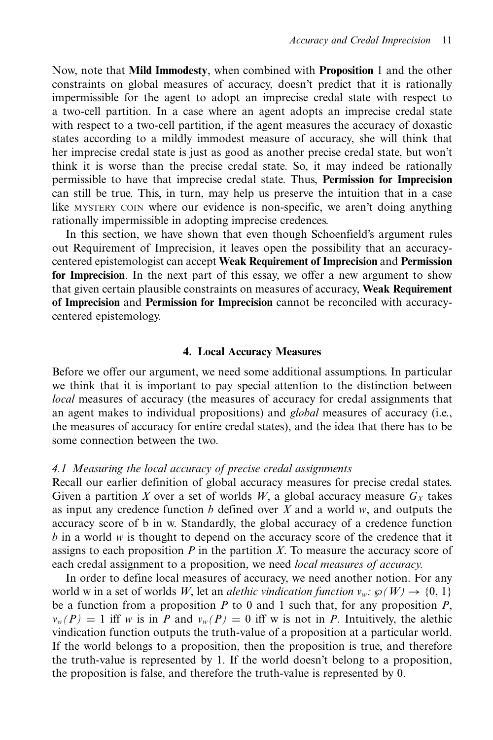Now, note that **Mild Immodesty**, when combined with **Proposition** 1 and the other constraints on global measures of accuracy, doesn't predict that it is rationally impermissible for the agent to adopt an imprecise credal state with respect to a two-cell partition. In a case where an agent adopts an imprecise credal state with respect to a two-cell partition, if the agent measures the accuracy of doxastic states according to a mildly immodest measure of accuracy, she will think that her imprecise credal state is just as good as another precise credal state, but won't think it is worse than the precise credal state. So, it may indeed be rationally permissible to have that imprecise credal state. Thus, **Permission for Imprecision** can still be true. This, in turn, may help us preserve the intuition that in a case like MYSTERY COIN where our evidence is non-specific, we aren't doing anything rationally impermissible in adopting imprecise credences.

In this section, we have shown that even though Schoenfield's argument rules out Requirement of Imprecision, it leaves open the possibility that an accuracycentered epistemologist can accept **Weak Requirement of Imprecision** and **Permission for Imprecision**. In the next part of this essay, we offer a new argument to show that given certain plausible constraints on measures of accuracy, **Weak Requirement of Imprecision** and **Permission for Imprecision** cannot be reconciled with accuracycentered epistemology.

#### **4. Local Accuracy Measures**

Before we offer our argument, we need some additional assumptions. In particular we think that it is important to pay special attention to the distinction between *local* measures of accuracy (the measures of accuracy for credal assignments that an agent makes to individual propositions) and *global* measures of accuracy (i.e., the measures of accuracy for entire credal states), and the idea that there has to be some connection between the two.

#### *4.1 Measuring the local accuracy of precise credal assignments*

Recall our earlier definition of global accuracy measures for precise credal states. Given a partition *X* over a set of worlds *W*, a global accuracy measure  $G_X$  takes as input any credence function *b* defined over *X* and a world *w*, and outputs the accuracy score of b in w. Standardly, the global accuracy of a credence function *b* in a world *w* is thought to depend on the accuracy score of the credence that it assigns to each proposition *P* in the partition *X*. To measure the accuracy score of each credal assignment to a proposition, we need *local measures of accuracy.*

In order to define local measures of accuracy, we need another notion. For any world w in a set of worlds *W*, let an *alethic vindication function*  $v_w$ :  $\wp(W) \rightarrow \{0, 1\}$ be a function from a proposition  $P$  to 0 and 1 such that, for any proposition  $P$ ,  $v_w(P) = 1$  iff *w* is in *P* and  $v_w(P) = 0$  iff w is not in *P*. Intuitively, the alethic vindication function outputs the truth-value of a proposition at a particular world. If the world belongs to a proposition, then the proposition is true, and therefore the truth-value is represented by 1. If the world doesn't belong to a proposition, the proposition is false, and therefore the truth-value is represented by 0.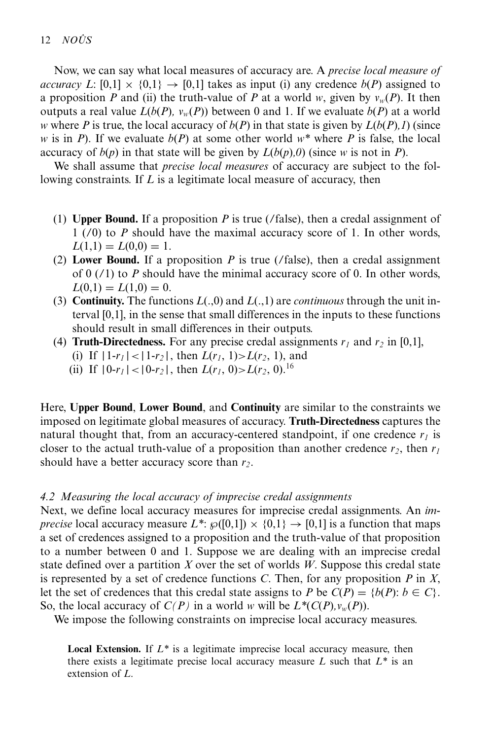Now, we can say what local measures of accuracy are. A *precise local measure of accuracy L*:  $[0,1] \times \{0,1\} \rightarrow [0,1]$  takes as input (i) any credence  $b(P)$  assigned to a proposition *P* and (ii) the truth-value of *P* at a world *w*, given by  $v_w(P)$ . It then outputs a real value  $L(b(P), v_w(P))$  between 0 and 1. If we evaluate  $b(P)$  at a world *w* where *P* is true, the local accuracy of  $b(P)$  in that state is given by  $L(b(P), I)$  (since *w* is in *P*). If we evaluate  $b(P)$  at some other world  $w^*$  where *P* is false, the local accuracy of  $b(p)$  in that state will be given by  $L(b(p),0)$  (since *w* is not in *P*).

We shall assume that *precise local measures* of accuracy are subject to the following constraints. If *L* is a legitimate local measure of accuracy, then

- (1) **Upper Bound.** If a proposition *P* is true (/false), then a credal assignment of 1 (/0) to *P* should have the maximal accuracy score of 1. In other words,  $L(1,1) = L(0,0) = 1.$
- (2) **Lower Bound.** If a proposition *P* is true (/false), then a credal assignment of 0 (/1) to *P* should have the minimal accuracy score of 0. In other words,  $L(0,1) = L(1,0) = 0.$
- (3) **Continuity.** The functions  $L(.,0)$  and  $L(.,1)$  are *continuous* through the unit interval [0,1], in the sense that small differences in the inputs to these functions should result in small differences in their outputs.
- (4) **Truth-Directedness.** For any precise credal assignments  $r_1$  and  $r_2$  in [0,1],
	- (i) If  $|1-r_1| < |1-r_2|$ , then  $L(r_1, 1) > L(r_2, 1)$ , and
	- (ii) If  $|0-r_1| < |0-r_2|$ , then  $L(r_1, 0) > L(r_2, 0)$ .<sup>16</sup>

Here, **Upper Bound**, **Lower Bound**, and **Continuity** are similar to the constraints we imposed on legitimate global measures of accuracy. **Truth-Directedness** captures the natural thought that, from an accuracy-centered standpoint, if one credence  $r<sub>1</sub>$  is closer to the actual truth-value of a proposition than another credence  $r_2$ , then  $r_1$ should have a better accuracy score than *r2*.

## *4.2 Measuring the local accuracy of imprecise credal assignments*

Next, we define local accuracy measures for imprecise credal assignments. An *imprecise* local accuracy measure *L\**:  $\wp([0,1]) \times \{0,1\} \rightarrow [0,1]$  is a function that maps a set of credences assigned to a proposition and the truth-value of that proposition to a number between 0 and 1. Suppose we are dealing with an imprecise credal state defined over a partition *X* over the set of worlds *W*. Suppose this credal state is represented by a set of credence functions *C*. Then, for any proposition *P* in *X*, let the set of credences that this credal state assigns to *P* be  $C(P) = \{b(P): b \in C\}$ . So, the local accuracy of  $C(P)$  in a world *w* will be  $L^*(C(P), v_w(P))$ .

We impose the following constraints on imprecise local accuracy measures.

**Local Extension.** If *L\** is a legitimate imprecise local accuracy measure, then there exists a legitimate precise local accuracy measure  $L$  such that  $L^*$  is an extension of *L*.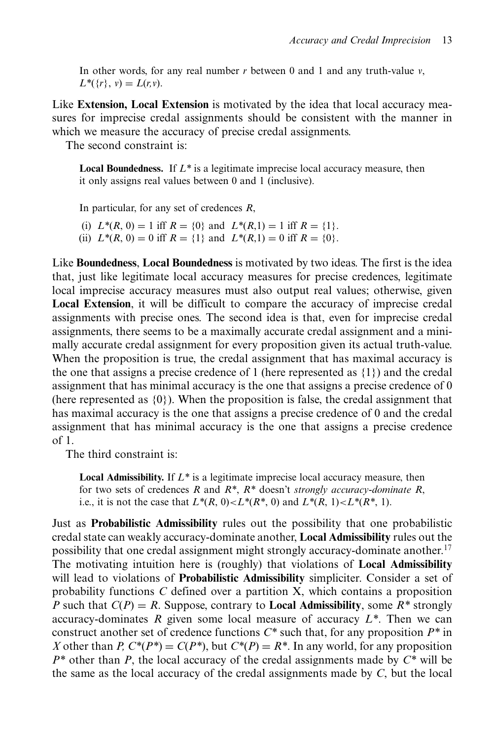In other words, for any real number *r* between 0 and 1 and any truth-value *v*,  $L^*(\{r\}, v) = L(r,v).$ 

Like **Extension, Local Extension** is motivated by the idea that local accuracy measures for imprecise credal assignments should be consistent with the manner in which we measure the accuracy of precise credal assignments.

The second constraint is:

**Local Boundedness.** If *L\** is a legitimate imprecise local accuracy measure, then it only assigns real values between 0 and 1 (inclusive).

In particular, for any set of credences *R*,

(i)  $L^*(R, 0) = 1$  iff  $R = \{0\}$  and  $L^*(R, 1) = 1$  iff  $R = \{1\}$ .

(ii)  $L^*(R, 0) = 0$  iff  $R = \{1\}$  and  $L^*(R, 1) = 0$  iff  $R = \{0\}$ .

Like **Boundedness**, **Local Boundedness** is motivated by two ideas. The first is the idea that, just like legitimate local accuracy measures for precise credences, legitimate local imprecise accuracy measures must also output real values; otherwise, given **Local Extension**, it will be difficult to compare the accuracy of imprecise credal assignments with precise ones. The second idea is that, even for imprecise credal assignments, there seems to be a maximally accurate credal assignment and a minimally accurate credal assignment for every proposition given its actual truth-value. When the proposition is true, the credal assignment that has maximal accuracy is the one that assigns a precise credence of 1 (here represented as {1}) and the credal assignment that has minimal accuracy is the one that assigns a precise credence of 0 (here represented as  $\{0\}$ ). When the proposition is false, the credal assignment that has maximal accuracy is the one that assigns a precise credence of 0 and the credal assignment that has minimal accuracy is the one that assigns a precise credence of 1.

The third constraint is:

**Local Admissibility.** If *L\** is a legitimate imprecise local accuracy measure, then for two sets of credences *R* and *R\**, *R\** doesn't *strongly accuracy-dominate R*, i.e., it is not the case that  $L^*(R, 0) < L^*(R^*, 0)$  and  $L^*(R, 1) < L^*(R^*, 1)$ .

Just as **Probabilistic Admissibility** rules out the possibility that one probabilistic credal state can weakly accuracy-dominate another, **Local Admissibility** rules out the possibility that one credal assignment might strongly accuracy-dominate another.<sup>17</sup> The motivating intuition here is (roughly) that violations of **Local Admissibility** will lead to violations of **Probabilistic Admissibility** simpliciter. Consider a set of probability functions *C* defined over a partition X, which contains a proposition *P* such that  $C(P) = R$ . Suppose, contrary to **Local Admissibility**, some  $R^*$  strongly accuracy-dominates *R* given some local measure of accuracy *L\**. Then we can construct another set of credence functions *C\** such that, for any proposition *P\** in *X* other than *P*,  $C^*(P^*) = C(P^*)$ , but  $C^*(P) = R^*$ . In any world, for any proposition *P\** other than *P*, the local accuracy of the credal assignments made by *C\** will be the same as the local accuracy of the credal assignments made by *C*, but the local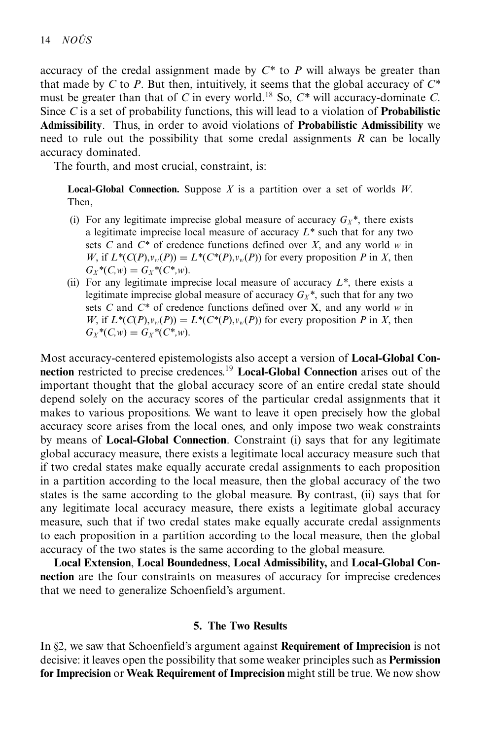accuracy of the credal assignment made by *C\** to *P* will always be greater than that made by *C* to *P*. But then, intuitively, it seems that the global accuracy of *C\** must be greater than that of *C* in every world.18 So, *C\** will accuracy-dominate *C*. Since *C* is a set of probability functions, this will lead to a violation of **Probabilistic Admissibility**. Thus, in order to avoid violations of **Probabilistic Admissibility** we need to rule out the possibility that some credal assignments *R* can be locally accuracy dominated.

The fourth, and most crucial, constraint, is:

**Local-Global Connection.** Suppose *X* is a partition over a set of worlds *W*. Then,

- (i) For any legitimate imprecise global measure of accuracy  $G_X^*$ , there exists a legitimate imprecise local measure of accuracy *L\** such that for any two sets *C* and *C\** of credence functions defined over *X*, and any world *w* in *W*, if  $L^*(C(P), v_w(P)) = L^*(C^*(P), v_w(P))$  for every proposition *P* in *X*, then  $G_X^*(C,w) = G_X^*(C^*,w).$
- (ii) For any legitimate imprecise local measure of accuracy  $L^*$ , there exists a legitimate imprecise global measure of accuracy  $G_X^*$ , such that for any two sets *C* and *C\** of credence functions defined over X, and any world *w* in *W*, if  $L^*(C(P), v_w(P)) = L^*(C^*(P), v_w(P))$  for every proposition *P* in *X*, then  $G_X^*(C,w) = G_X^*(C^*,w).$

Most accuracy-centered epistemologists also accept a version of **Local-Global Connection** restricted to precise credences.19 **Local-Global Connection** arises out of the important thought that the global accuracy score of an entire credal state should depend solely on the accuracy scores of the particular credal assignments that it makes to various propositions. We want to leave it open precisely how the global accuracy score arises from the local ones, and only impose two weak constraints by means of **Local-Global Connection**. Constraint (i) says that for any legitimate global accuracy measure, there exists a legitimate local accuracy measure such that if two credal states make equally accurate credal assignments to each proposition in a partition according to the local measure, then the global accuracy of the two states is the same according to the global measure. By contrast, (ii) says that for any legitimate local accuracy measure, there exists a legitimate global accuracy measure, such that if two credal states make equally accurate credal assignments to each proposition in a partition according to the local measure, then the global accuracy of the two states is the same according to the global measure.

**Local Extension**, **Local Boundedness**, **Local Admissibility,** and **Local-Global Connection** are the four constraints on measures of accuracy for imprecise credences that we need to generalize Schoenfield's argument.

## **5. The Two Results**

In §2, we saw that Schoenfield's argument against **Requirement of Imprecision** is not decisive: it leaves open the possibility that some weaker principles such as **Permission for Imprecision** or **Weak Requirement of Imprecision** might still be true. We now show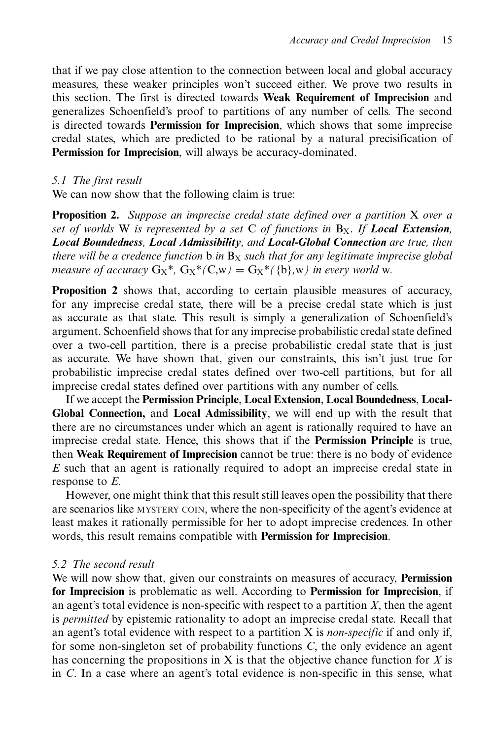that if we pay close attention to the connection between local and global accuracy measures, these weaker principles won't succeed either. We prove two results in this section. The first is directed towards **Weak Requirement of Imprecision** and generalizes Schoenfield's proof to partitions of any number of cells. The second is directed towards **Permission for Imprecision**, which shows that some imprecise credal states, which are predicted to be rational by a natural precisification of **Permission for Imprecision**, will always be accuracy-dominated.

## *5.1 The first result*

We can now show that the following claim is true:

**Proposition 2.** *Suppose an imprecise credal state defined over a partition* X *over a* set of worlds W is represented by a set C of functions in B<sub>X</sub>. If **Local Extension**, *Local Boundedness, Local Admissibility, and Local-Global Connection are true, then there will be a credence function* b *in* B<sub>X</sub> *such that for any legitimate imprecise global measure of accuracy*  $G_X^*$ ,  $G_X^*(C,w) = G_X^*(\{b\},w)$  *in every world* w.

**Proposition 2** shows that, according to certain plausible measures of accuracy, for any imprecise credal state, there will be a precise credal state which is just as accurate as that state. This result is simply a generalization of Schoenfield's argument. Schoenfield shows that for any imprecise probabilistic credal state defined over a two-cell partition, there is a precise probabilistic credal state that is just as accurate. We have shown that, given our constraints, this isn't just true for probabilistic imprecise credal states defined over two-cell partitions, but for all imprecise credal states defined over partitions with any number of cells.

If we accept the **Permission Principle**, **Local Extension**, **Local Boundedness**, **Local-Global Connection,** and **Local Admissibility**, we will end up with the result that there are no circumstances under which an agent is rationally required to have an imprecise credal state. Hence, this shows that if the **Permission Principle** is true, then **Weak Requirement of Imprecision** cannot be true: there is no body of evidence *E* such that an agent is rationally required to adopt an imprecise credal state in response to *E*.

However, one might think that this result still leaves open the possibility that there are scenarios like MYSTERY COIN, where the non-specificity of the agent's evidence at least makes it rationally permissible for her to adopt imprecise credences. In other words, this result remains compatible with **Permission for Imprecision**.

## *5.2 The second result*

We will now show that, given our constraints on measures of accuracy, **Permission for Imprecision** is problematic as well. According to **Permission for Imprecision**, if an agent's total evidence is non-specific with respect to a partition *X*, then the agent is *permitted* by epistemic rationality to adopt an imprecise credal state. Recall that an agent's total evidence with respect to a partition X is *non-specific* if and only if, for some non-singleton set of probability functions *C*, the only evidence an agent has concerning the propositions in X is that the objective chance function for *X* is in *C*. In a case where an agent's total evidence is non-specific in this sense, what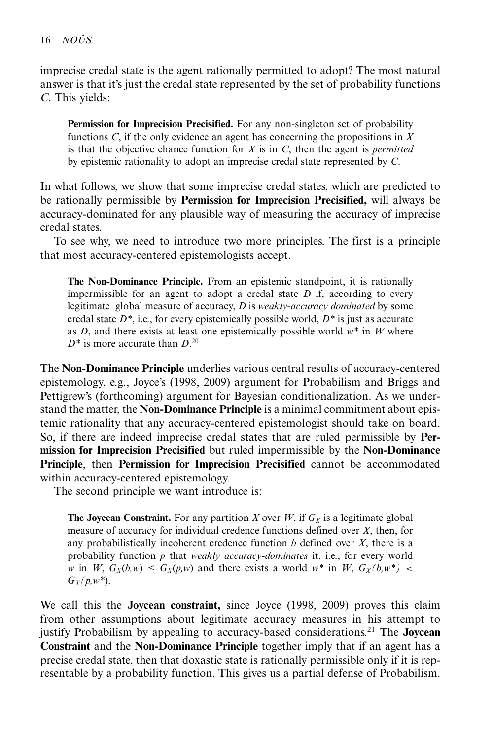imprecise credal state is the agent rationally permitted to adopt? The most natural answer is that it's just the credal state represented by the set of probability functions *C*. This yields:

**Permission for Imprecision Precisified.** For any non-singleton set of probability functions *C*, if the only evidence an agent has concerning the propositions in *X* is that the objective chance function for *X* is in *C*, then the agent is *permitted* by epistemic rationality to adopt an imprecise credal state represented by *C*.

In what follows, we show that some imprecise credal states, which are predicted to be rationally permissible by **Permission for Imprecision Precisified,** will always be accuracy-dominated for any plausible way of measuring the accuracy of imprecise credal states.

To see why, we need to introduce two more principles. The first is a principle that most accuracy-centered epistemologists accept.

**The Non-Dominance Principle.** From an epistemic standpoint, it is rationally impermissible for an agent to adopt a credal state *D* if, according to every legitimate global measure of accuracy, *D* is *weakly-accuracy dominated* by some credal state  $D^*$ , i.e., for every epistemically possible world,  $D^*$  is just as accurate as *D*, and there exists at least one epistemically possible world *w\** in *W* where *D\** is more accurate than *D*. 20

The **Non-Dominance Principle** underlies various central results of accuracy-centered epistemology, e.g., Joyce's (1998, 2009) argument for Probabilism and Briggs and Pettigrew's (forthcoming) argument for Bayesian conditionalization. As we understand the matter, the **Non-Dominance Principle** is a minimal commitment about epistemic rationality that any accuracy-centered epistemologist should take on board. So, if there are indeed imprecise credal states that are ruled permissible by **Permission for Imprecision Precisified** but ruled impermissible by the **Non-Dominance Principle**, then **Permission for Imprecision Precisified** cannot be accommodated within accuracy-centered epistemology.

The second principle we want introduce is:

**The Joycean Constraint.** For any partition *X* over *W*, if  $G_X$  is a legitimate global measure of accuracy for individual credence functions defined over *X*, then, for any probabilistically incoherent credence function *b* defined over *X*, there is a probability function *p* that *weakly accuracy-dominates* it, i.e., for every world *w* in *W*,  $G_X(b,w) \leq G_X(p,w)$  and there exists a world *w*<sup>\*</sup> in *W*,  $G_X(b,w^*)$  < *GX(p,w\**).

We call this the **Joycean constraint,** since Joyce (1998, 2009) proves this claim from other assumptions about legitimate accuracy measures in his attempt to justify Probabilism by appealing to accuracy-based considerations.<sup>21</sup> The **Joycean Constraint** and the **Non-Dominance Principle** together imply that if an agent has a precise credal state, then that doxastic state is rationally permissible only if it is representable by a probability function. This gives us a partial defense of Probabilism.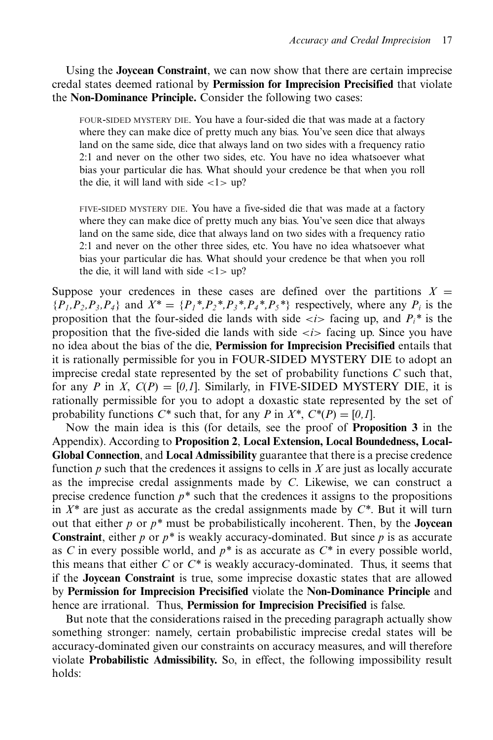Using the **Joycean Constraint**, we can now show that there are certain imprecise credal states deemed rational by **Permission for Imprecision Precisified** that violate the **Non-Dominance Principle.** Consider the following two cases:

FOUR-SIDED MYSTERY DIE. You have a four-sided die that was made at a factory where they can make dice of pretty much any bias. You've seen dice that always land on the same side, dice that always land on two sides with a frequency ratio 2:1 and never on the other two sides, etc. You have no idea whatsoever what bias your particular die has. What should your credence be that when you roll the die, it will land with side  $\langle -1 \rangle$  up?

FIVE-SIDED MYSTERY DIE. You have a five-sided die that was made at a factory where they can make dice of pretty much any bias. You've seen dice that always land on the same side, dice that always land on two sides with a frequency ratio 2:1 and never on the other three sides, etc. You have no idea whatsoever what bias your particular die has. What should your credence be that when you roll the die, it will land with side  $\langle -1 \rangle$  up?

Suppose your credences in these cases are defined over the partitions  $X =$  ${P_1, P_2, P_3, P_4}$  and  $X^* = {P_1^*, P_2^*, P_3^*, P_4^*, P_5^*}$  respectively, where any  $P_i$  is the proposition that the four-sided die lands with side  $\langle i \rangle$  facing up, and  $P_i^*$  is the proposition that the five-sided die lands with side  $\langle i \rangle$  facing up. Since you have no idea about the bias of the die, **Permission for Imprecision Precisified** entails that it is rationally permissible for you in FOUR-SIDED MYSTERY DIE to adopt an imprecise credal state represented by the set of probability functions *C* such that, for any *P* in *X*,  $C(P) = [0,1]$ . Similarly, in FIVE-SIDED MYSTERY DIE, it is rationally permissible for you to adopt a doxastic state represented by the set of probability functions  $C^*$  such that, for any *P* in  $X^*$ ,  $C^*(P) = [0,1]$ .

Now the main idea is this (for details, see the proof of **Proposition 3** in the Appendix). According to **Proposition 2**, **Local Extension, Local Boundedness, Local-Global Connection**, and **Local Admissibility** guarantee that there is a precise credence function *p* such that the credences it assigns to cells in *X* are just as locally accurate as the imprecise credal assignments made by *C*. Likewise, we can construct a precise credence function *p\** such that the credences it assigns to the propositions in  $X^*$  are just as accurate as the credal assignments made by  $C^*$ . But it will turn out that either *p* or *p\** must be probabilistically incoherent. Then, by the **Joycean Constraint**, either *p* or *p\** is weakly accuracy-dominated. But since *p* is as accurate as *C* in every possible world, and *p\** is as accurate as *C\** in every possible world, this means that either *C* or *C\** is weakly accuracy-dominated. Thus, it seems that if the **Joycean Constraint** is true, some imprecise doxastic states that are allowed by **Permission for Imprecision Precisified** violate the **Non-Dominance Principle** and hence are irrational. Thus, **Permission for Imprecision Precisified** is false.

But note that the considerations raised in the preceding paragraph actually show something stronger: namely, certain probabilistic imprecise credal states will be accuracy-dominated given our constraints on accuracy measures, and will therefore violate **Probabilistic Admissibility.** So, in effect, the following impossibility result holds: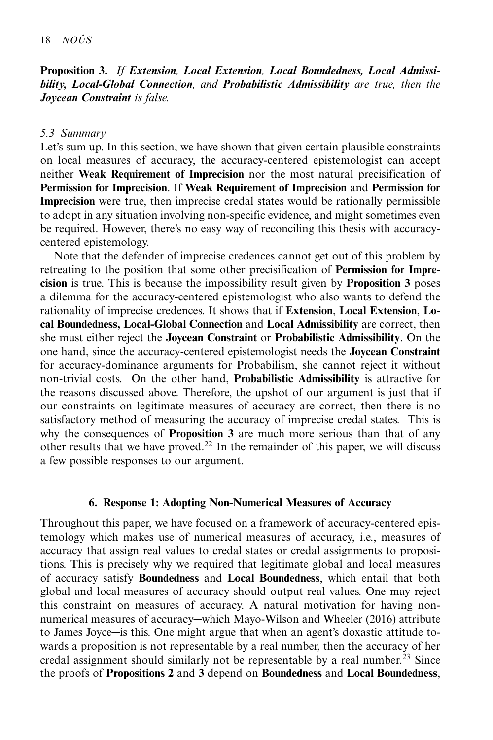**Proposition 3.** *If Extension, Local Extension, Local Boundedness, Local Admissibility, Local-Global Connection, and Probabilistic Admissibility are true, then the Joycean Constraint is false.*

#### *5.3 Summary*

Let's sum up. In this section, we have shown that given certain plausible constraints on local measures of accuracy, the accuracy-centered epistemologist can accept neither **Weak Requirement of Imprecision** nor the most natural precisification of **Permission for Imprecision**. If **Weak Requirement of Imprecision** and **Permission for Imprecision** were true, then imprecise credal states would be rationally permissible to adopt in any situation involving non-specific evidence, and might sometimes even be required. However, there's no easy way of reconciling this thesis with accuracycentered epistemology.

Note that the defender of imprecise credences cannot get out of this problem by retreating to the position that some other precisification of **Permission for Imprecision** is true. This is because the impossibility result given by **Proposition 3** poses a dilemma for the accuracy-centered epistemologist who also wants to defend the rationality of imprecise credences. It shows that if **Extension**, **Local Extension**, **Local Boundedness, Local-Global Connection** and **Local Admissibility** are correct, then she must either reject the **Joycean Constraint** or **Probabilistic Admissibility**. On the one hand, since the accuracy-centered epistemologist needs the **Joycean Constraint** for accuracy-dominance arguments for Probabilism, she cannot reject it without non-trivial costs. On the other hand, **Probabilistic Admissibility** is attractive for the reasons discussed above. Therefore, the upshot of our argument is just that if our constraints on legitimate measures of accuracy are correct, then there is no satisfactory method of measuring the accuracy of imprecise credal states. This is why the consequences of **Proposition 3** are much more serious than that of any other results that we have proved.<sup>22</sup> In the remainder of this paper, we will discuss a few possible responses to our argument.

## **6. Response 1: Adopting Non-Numerical Measures of Accuracy**

Throughout this paper, we have focused on a framework of accuracy-centered epistemology which makes use of numerical measures of accuracy, i.e., measures of accuracy that assign real values to credal states or credal assignments to propositions. This is precisely why we required that legitimate global and local measures of accuracy satisfy **Boundedness** and **Local Boundedness**, which entail that both global and local measures of accuracy should output real values. One may reject this constraint on measures of accuracy. A natural motivation for having nonnumerical measures of accuracy—which Mayo-Wilson and Wheeler (2016) attribute to James Joyce─is this. One might argue that when an agent's doxastic attitude towards a proposition is not representable by a real number, then the accuracy of her credal assignment should similarly not be representable by a real number.<sup>23</sup> Since the proofs of **Propositions 2** and **3** depend on **Boundedness** and **Local Boundedness**,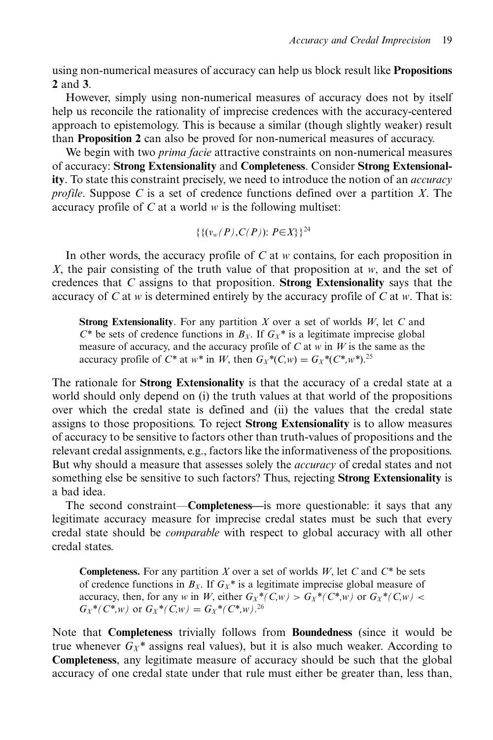using non-numerical measures of accuracy can help us block result like **Propositions 2** and **3**.

However, simply using non-numerical measures of accuracy does not by itself help us reconcile the rationality of imprecise credences with the accuracy-centered approach to epistemology. This is because a similar (though slightly weaker) result than **Proposition 2** can also be proved for non-numerical measures of accuracy.

We begin with two *prima facie* attractive constraints on non-numerical measures of accuracy: **Strong Extensionality** and **Completeness**. Consider **Strong Extensionality**. To state this constraint precisely, we need to introduce the notion of an *accuracy profile*. Suppose *C* is a set of credence functions defined over a partition *X*. The accuracy profile of *C* at a world *w* is the following multiset:

$$
\{\{(v_w(P), C(P)) : P \in X\}\}^{24}
$$

In other words, the accuracy profile of *C* at *w* contains, for each proposition in *X*, the pair consisting of the truth value of that proposition at *w*, and the set of credences that *C* assigns to that proposition. **Strong Extensionality** says that the accuracy of *C* at *w* is determined entirely by the accuracy profile of *C* at *w*. That is:

**Strong Extensionality**. For any partition *X* over a set of worlds *W*, let *C* and  $C^*$  be sets of credence functions in  $B_X$ . If  $G_X^*$  is a legitimate imprecise global measure of accuracy, and the accuracy profile of *C* at *w* in *W* is the same as the accuracy profile of  $C^*$  at  $w^*$  in *W*, then  $G_X^*(C,w) = G_X^*(C^*,w^*)$ .<sup>25</sup>

The rationale for **Strong Extensionality** is that the accuracy of a credal state at a world should only depend on (i) the truth values at that world of the propositions over which the credal state is defined and (ii) the values that the credal state assigns to those propositions. To reject **Strong Extensionality** is to allow measures of accuracy to be sensitive to factors other than truth-values of propositions and the relevant credal assignments, e.g., factors like the informativeness of the propositions. But why should a measure that assesses solely the *accuracy* of credal states and not something else be sensitive to such factors? Thus, rejecting **Strong Extensionality** is a bad idea.

The second constraint—**Completeness—**is more questionable: it says that any legitimate accuracy measure for imprecise credal states must be such that every credal state should be *comparable* with respect to global accuracy with all other credal states.

**Completeness.** For any partition *X* over a set of worlds *W*, let *C* and *C\** be sets of credence functions in  $B_X$ . If  $G_X^*$  is a legitimate imprecise global measure of accuracy, then, for any *w* in *W*, either  $G_X^*(C, w) > G_X^*(C^*, w)$  or  $G_X^*(C, w)$  <  $G_X^*(C^*, w)$  or  $G_X^*(C, w) = G_X^*(C^*, w)$ . <sup>26</sup>

Note that **Completeness** trivially follows from **Boundedness** (since it would be true whenever  $G_X^*$  assigns real values), but it is also much weaker. According to **Completeness**, any legitimate measure of accuracy should be such that the global accuracy of one credal state under that rule must either be greater than, less than,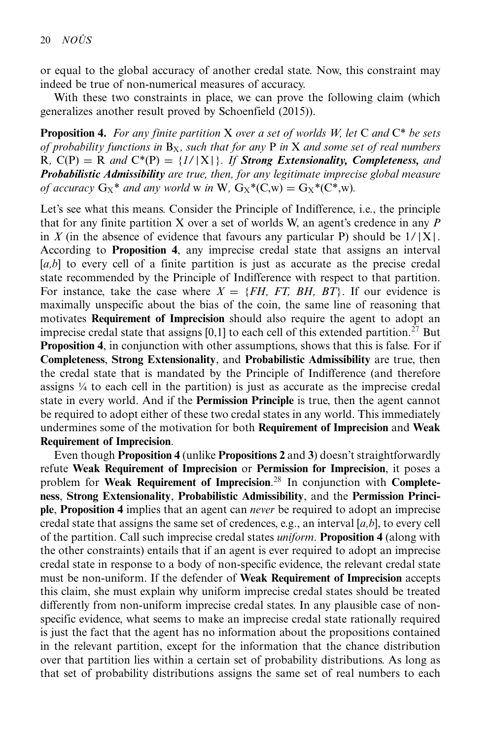or equal to the global accuracy of another credal state. Now, this constraint may indeed be true of non-numerical measures of accuracy.

With these two constraints in place, we can prove the following claim (which generalizes another result proved by Schoenfield (2015)).

**Proposition 4.** *For any finite partition* X *over a set of worlds W, let* C *and* C\* *be sets of probability functions in* BX*, such that for any* P *in* X *and some set of real numbers* R,  $C(P) = R$  *and*  $C^*(P) = \{1/|X|\}$ . If **Strong Extensionality, Completeness,** and *Probabilistic Admissibility are true, then, for any legitimate imprecise global measure of accuracy*  $G_X^*$  *and any world* w *in* W,  $G_X^*(C,w) = G_X^*(C^*,w)$ .

Let's see what this means. Consider the Principle of Indifference, i.e., the principle that for any finite partition X over a set of worlds W, an agent's credence in any *P* in X (in the absence of evidence that favours any particular P) should be  $1/|X|$ . According to **Proposition 4**, any imprecise credal state that assigns an interval [a,b] to every cell of a finite partition is just as accurate as the precise credal state recommended by the Principle of Indifference with respect to that partition. For instance, take the case where  $X = \{FH, FT, BH, BT\}$ . If our evidence is maximally unspecific about the bias of the coin, the same line of reasoning that motivates **Requirement of Imprecision** should also require the agent to adopt an imprecise credal state that assigns  $[0,1]$  to each cell of this extended partition.<sup>27</sup> But **Proposition 4**, in conjunction with other assumptions, shows that this is false. For if **Completeness**, **Strong Extensionality**, and **Probabilistic Admissibility** are true, then the credal state that is mandated by the Principle of Indifference (and therefore assigns  $\frac{1}{4}$  to each cell in the partition) is just as accurate as the imprecise credal state in every world. And if the **Permission Principle** is true, then the agent cannot be required to adopt either of these two credal states in any world. This immediately undermines some of the motivation for both **Requirement of Imprecision** and **Weak Requirement of Imprecision**.

Even though **Proposition 4** (unlike **Propositions 2** and **3**) doesn't straightforwardly refute **Weak Requirement of Imprecision** or **Permission for Imprecision**, it poses a problem for **Weak Requirement of Imprecision**. <sup>28</sup> In conjunction with **Completeness**, **Strong Extensionality**, **Probabilistic Admissibility**, and the **Permission Principle**, **Proposition 4** implies that an agent can *never* be required to adopt an imprecise credal state that assigns the same set of credences, e.g., an interval [*a,b*], to every cell of the partition. Call such imprecise credal states *uniform*. **Proposition 4** (along with the other constraints) entails that if an agent is ever required to adopt an imprecise credal state in response to a body of non-specific evidence, the relevant credal state must be non-uniform. If the defender of **Weak Requirement of Imprecision** accepts this claim, she must explain why uniform imprecise credal states should be treated differently from non-uniform imprecise credal states. In any plausible case of nonspecific evidence, what seems to make an imprecise credal state rationally required is just the fact that the agent has no information about the propositions contained in the relevant partition, except for the information that the chance distribution over that partition lies within a certain set of probability distributions. As long as that set of probability distributions assigns the same set of real numbers to each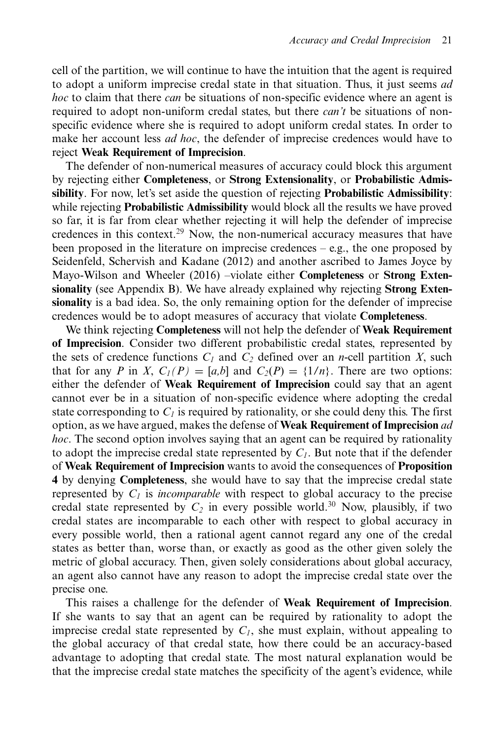cell of the partition, we will continue to have the intuition that the agent is required to adopt a uniform imprecise credal state in that situation. Thus, it just seems *ad hoc* to claim that there *can* be situations of non-specific evidence where an agent is required to adopt non-uniform credal states, but there *can't* be situations of nonspecific evidence where she is required to adopt uniform credal states. In order to make her account less *ad hoc*, the defender of imprecise credences would have to reject **Weak Requirement of Imprecision**.

The defender of non-numerical measures of accuracy could block this argument by rejecting either **Completeness**, or **Strong Extensionality**, or **Probabilistic Admissibility**. For now, let's set aside the question of rejecting **Probabilistic Admissibility**: while rejecting **Probabilistic Admissibility** would block all the results we have proved so far, it is far from clear whether rejecting it will help the defender of imprecise credences in this context.<sup>29</sup> Now, the non-numerical accuracy measures that have been proposed in the literature on imprecise credences  $-$  e.g., the one proposed by Seidenfeld, Schervish and Kadane (2012) and another ascribed to James Joyce by Mayo-Wilson and Wheeler (2016) –violate either **Completeness** or **Strong Extensionality** (see Appendix B). We have already explained why rejecting **Strong Extensionality** is a bad idea. So, the only remaining option for the defender of imprecise credences would be to adopt measures of accuracy that violate **Completeness**.

We think rejecting **Completeness** will not help the defender of **Weak Requirement of Imprecision**. Consider two different probabilistic credal states, represented by the sets of credence functions  $C_1$  and  $C_2$  defined over an *n*-cell partition X, such that for any *P* in *X*,  $C_1(P) = [a,b]$  and  $C_2(P) = \{1/n\}$ . There are two options: either the defender of **Weak Requirement of Imprecision** could say that an agent cannot ever be in a situation of non-specific evidence where adopting the credal state corresponding to  $C_l$  is required by rationality, or she could deny this. The first option, as we have argued, makes the defense of **Weak Requirement of Imprecision** *ad hoc*. The second option involves saying that an agent can be required by rationality to adopt the imprecise credal state represented by  $C<sub>1</sub>$ . But note that if the defender of **Weak Requirement of Imprecision** wants to avoid the consequences of **Proposition 4** by denying **Completeness**, she would have to say that the imprecise credal state represented by  $C_l$  is *incomparable* with respect to global accuracy to the precise credal state represented by  $C_2$  in every possible world.<sup>30</sup> Now, plausibly, if two credal states are incomparable to each other with respect to global accuracy in every possible world, then a rational agent cannot regard any one of the credal states as better than, worse than, or exactly as good as the other given solely the metric of global accuracy. Then, given solely considerations about global accuracy, an agent also cannot have any reason to adopt the imprecise credal state over the precise one.

This raises a challenge for the defender of **Weak Requirement of Imprecision**. If she wants to say that an agent can be required by rationality to adopt the imprecise credal state represented by  $C<sub>l</sub>$ , she must explain, without appealing to the global accuracy of that credal state, how there could be an accuracy-based advantage to adopting that credal state. The most natural explanation would be that the imprecise credal state matches the specificity of the agent's evidence, while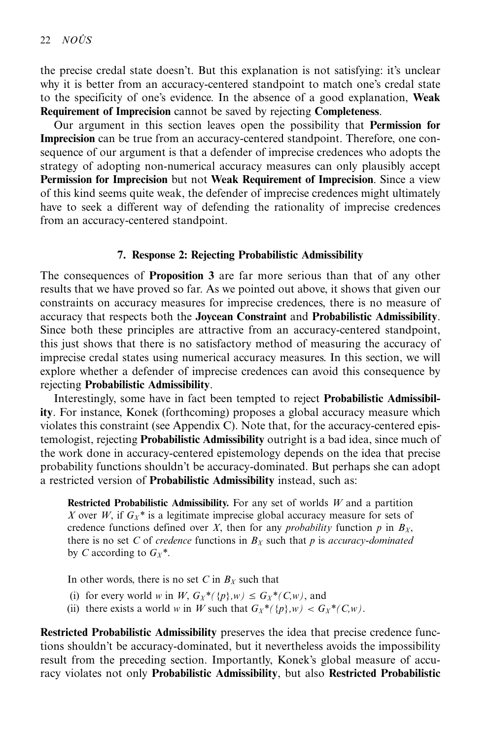the precise credal state doesn't. But this explanation is not satisfying: it's unclear why it is better from an accuracy-centered standpoint to match one's credal state to the specificity of one's evidence. In the absence of a good explanation, **Weak Requirement of Imprecision** cannot be saved by rejecting **Completeness**.

Our argument in this section leaves open the possibility that **Permission for Imprecision** can be true from an accuracy-centered standpoint. Therefore, one consequence of our argument is that a defender of imprecise credences who adopts the strategy of adopting non-numerical accuracy measures can only plausibly accept **Permission for Imprecision** but not **Weak Requirement of Imprecision**. Since a view of this kind seems quite weak, the defender of imprecise credences might ultimately have to seek a different way of defending the rationality of imprecise credences from an accuracy-centered standpoint.

## **7. Response 2: Rejecting Probabilistic Admissibility**

The consequences of **Proposition 3** are far more serious than that of any other results that we have proved so far. As we pointed out above, it shows that given our constraints on accuracy measures for imprecise credences, there is no measure of accuracy that respects both the **Joycean Constraint** and **Probabilistic Admissibility**. Since both these principles are attractive from an accuracy-centered standpoint, this just shows that there is no satisfactory method of measuring the accuracy of imprecise credal states using numerical accuracy measures. In this section, we will explore whether a defender of imprecise credences can avoid this consequence by rejecting **Probabilistic Admissibility**.

Interestingly, some have in fact been tempted to reject **Probabilistic Admissibility**. For instance, Konek (forthcoming) proposes a global accuracy measure which violates this constraint (see Appendix C). Note that, for the accuracy-centered epistemologist, rejecting **Probabilistic Admissibility** outright is a bad idea, since much of the work done in accuracy-centered epistemology depends on the idea that precise probability functions shouldn't be accuracy-dominated. But perhaps she can adopt a restricted version of **Probabilistic Admissibility** instead, such as:

**Restricted Probabilistic Admissibility.** For any set of worlds *W* and a partition *X* over *W*, if  $G_X^*$  is a legitimate imprecise global accuracy measure for sets of credence functions defined over *X*, then for any *probability* function  $p$  in  $B_X$ , there is no set *C* of *credence* functions in  $B_X$  such that *p* is *accuracy-dominated* by *C* according to  $G_X^*$ .

In other words, there is no set  $C$  in  $B_X$  such that

- (i) for every world *w* in *W*,  $G_X^*(\{p\}, w) \le G_X^*(C, w)$ , and
- (ii) there exists a world *w* in *W* such that  $G_X^*(\{p\}, w) < G_X^*(C, w)$ .

**Restricted Probabilistic Admissibility** preserves the idea that precise credence functions shouldn't be accuracy-dominated, but it nevertheless avoids the impossibility result from the preceding section. Importantly, Konek's global measure of accuracy violates not only **Probabilistic Admissibility**, but also **Restricted Probabilistic**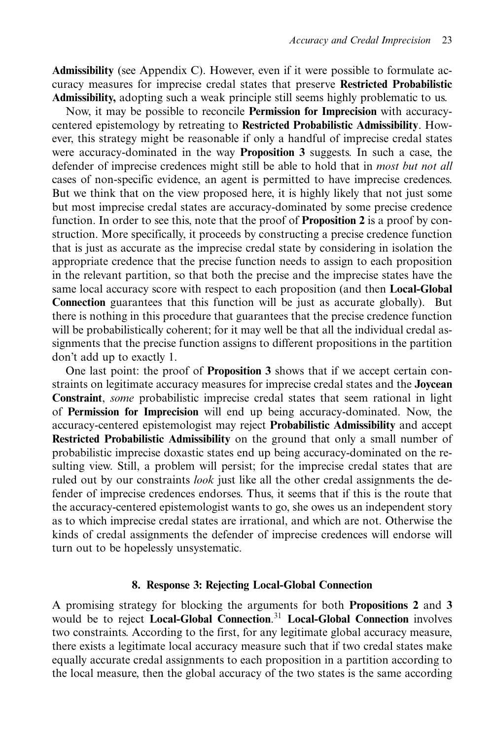**Admissibility** (see Appendix C). However, even if it were possible to formulate accuracy measures for imprecise credal states that preserve **Restricted Probabilistic Admissibility,** adopting such a weak principle still seems highly problematic to us.

Now, it may be possible to reconcile **Permission for Imprecision** with accuracycentered epistemology by retreating to **Restricted Probabilistic Admissibility**. However, this strategy might be reasonable if only a handful of imprecise credal states were accuracy-dominated in the way **Proposition 3** suggests. In such a case, the defender of imprecise credences might still be able to hold that in *most but not all* cases of non-specific evidence, an agent is permitted to have imprecise credences. But we think that on the view proposed here, it is highly likely that not just some but most imprecise credal states are accuracy-dominated by some precise credence function. In order to see this, note that the proof of **Proposition 2** is a proof by construction. More specifically, it proceeds by constructing a precise credence function that is just as accurate as the imprecise credal state by considering in isolation the appropriate credence that the precise function needs to assign to each proposition in the relevant partition, so that both the precise and the imprecise states have the same local accuracy score with respect to each proposition (and then **Local-Global Connection** guarantees that this function will be just as accurate globally). But there is nothing in this procedure that guarantees that the precise credence function will be probabilistically coherent; for it may well be that all the individual credal assignments that the precise function assigns to different propositions in the partition don't add up to exactly 1.

One last point: the proof of **Proposition 3** shows that if we accept certain constraints on legitimate accuracy measures for imprecise credal states and the **Joycean Constraint**, *some* probabilistic imprecise credal states that seem rational in light of **Permission for Imprecision** will end up being accuracy-dominated. Now, the accuracy-centered epistemologist may reject **Probabilistic Admissibility** and accept **Restricted Probabilistic Admissibility** on the ground that only a small number of probabilistic imprecise doxastic states end up being accuracy-dominated on the resulting view. Still, a problem will persist; for the imprecise credal states that are ruled out by our constraints *look* just like all the other credal assignments the defender of imprecise credences endorses. Thus, it seems that if this is the route that the accuracy-centered epistemologist wants to go, she owes us an independent story as to which imprecise credal states are irrational, and which are not. Otherwise the kinds of credal assignments the defender of imprecise credences will endorse will turn out to be hopelessly unsystematic.

## **8. Response 3: Rejecting Local-Global Connection**

A promising strategy for blocking the arguments for both **Propositions 2** and **3** would be to reject **Local-Global Connection**. <sup>31</sup> **Local-Global Connection** involves two constraints. According to the first, for any legitimate global accuracy measure, there exists a legitimate local accuracy measure such that if two credal states make equally accurate credal assignments to each proposition in a partition according to the local measure, then the global accuracy of the two states is the same according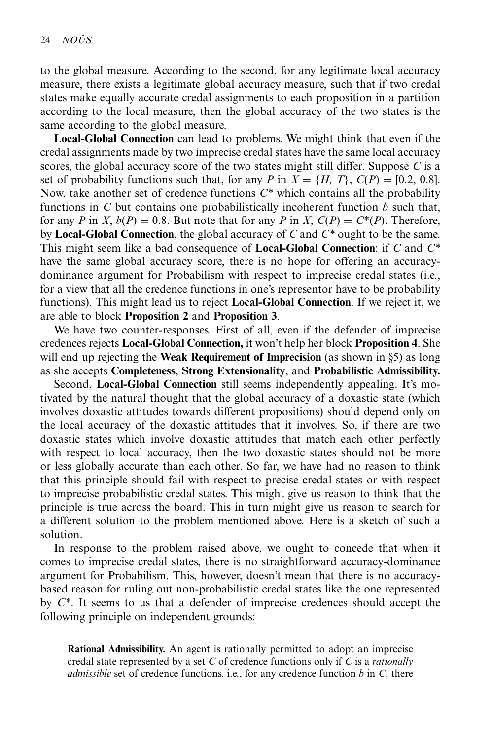to the global measure. According to the second, for any legitimate local accuracy measure, there exists a legitimate global accuracy measure, such that if two credal states make equally accurate credal assignments to each proposition in a partition according to the local measure, then the global accuracy of the two states is the same according to the global measure.

**Local-Global Connection** can lead to problems. We might think that even if the credal assignments made by two imprecise credal states have the same local accuracy scores, the global accuracy score of the two states might still differ. Suppose *C* is a set of probability functions such that, for any *P* in  $X = \{H, T\}$ ,  $C(P) = [0.2, 0.8]$ . Now, take another set of credence functions *C\** which contains all the probability functions in *C* but contains one probabilistically incoherent function *b* such that, for any *P* in *X*,  $b(P) = 0.8$ . But note that for any *P* in *X*,  $C(P) = C^*(P)$ . Therefore, by **Local-Global Connection**, the global accuracy of *C* and *C\** ought to be the same. This might seem like a bad consequence of **Local-Global Connection**: if *C* and *C\** have the same global accuracy score, there is no hope for offering an accuracydominance argument for Probabilism with respect to imprecise credal states (i.e., for a view that all the credence functions in one's representor have to be probability functions). This might lead us to reject **Local-Global Connection**. If we reject it, we are able to block **Proposition 2** and **Proposition 3**.

We have two counter-responses. First of all, even if the defender of imprecise credences rejects **Local-Global Connection,** it won't help her block **Proposition 4**. She will end up rejecting the **Weak Requirement of Imprecision** (as shown in §5) as long as she accepts **Completeness**, **Strong Extensionality**, and **Probabilistic Admissibility.**

Second, **Local-Global Connection** still seems independently appealing. It's motivated by the natural thought that the global accuracy of a doxastic state (which involves doxastic attitudes towards different propositions) should depend only on the local accuracy of the doxastic attitudes that it involves. So, if there are two doxastic states which involve doxastic attitudes that match each other perfectly with respect to local accuracy, then the two doxastic states should not be more or less globally accurate than each other. So far, we have had no reason to think that this principle should fail with respect to precise credal states or with respect to imprecise probabilistic credal states. This might give us reason to think that the principle is true across the board. This in turn might give us reason to search for a different solution to the problem mentioned above. Here is a sketch of such a solution.

In response to the problem raised above, we ought to concede that when it comes to imprecise credal states, there is no straightforward accuracy-dominance argument for Probabilism. This, however, doesn't mean that there is no accuracybased reason for ruling out non-probabilistic credal states like the one represented by *C\**. It seems to us that a defender of imprecise credences should accept the following principle on independent grounds:

**Rational Admissibility.** An agent is rationally permitted to adopt an imprecise credal state represented by a set *C* of credence functions only if *C* is a *rationally admissible* set of credence functions, i.e., for any credence function *b* in *C*, there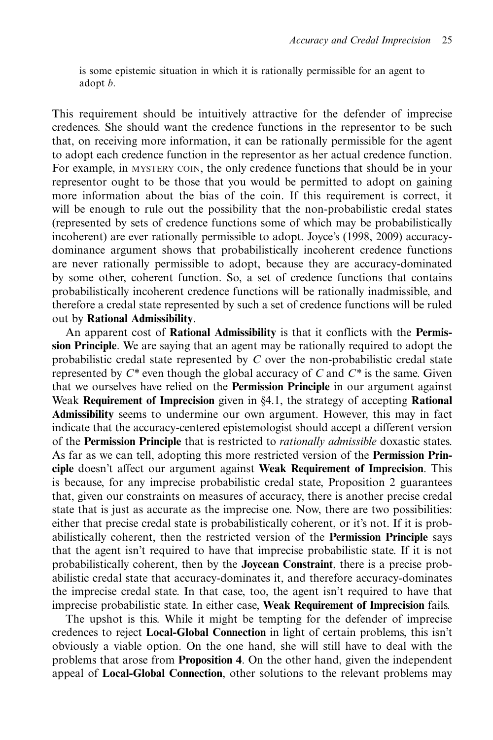is some epistemic situation in which it is rationally permissible for an agent to adopt *b*.

This requirement should be intuitively attractive for the defender of imprecise credences. She should want the credence functions in the representor to be such that, on receiving more information, it can be rationally permissible for the agent to adopt each credence function in the representor as her actual credence function. For example, in MYSTERY COIN, the only credence functions that should be in your representor ought to be those that you would be permitted to adopt on gaining more information about the bias of the coin. If this requirement is correct, it will be enough to rule out the possibility that the non-probabilistic credal states (represented by sets of credence functions some of which may be probabilistically incoherent) are ever rationally permissible to adopt. Joyce's (1998, 2009) accuracydominance argument shows that probabilistically incoherent credence functions are never rationally permissible to adopt, because they are accuracy-dominated by some other, coherent function. So, a set of credence functions that contains probabilistically incoherent credence functions will be rationally inadmissible, and therefore a credal state represented by such a set of credence functions will be ruled out by **Rational Admissibility**.

An apparent cost of **Rational Admissibility** is that it conflicts with the **Permission Principle**. We are saying that an agent may be rationally required to adopt the probabilistic credal state represented by *C* over the non-probabilistic credal state represented by *C\** even though the global accuracy of *C* and *C\** is the same. Given that we ourselves have relied on the **Permission Principle** in our argument against Weak **Requirement of Imprecision** given in §4.1, the strategy of accepting **Rational Admissibility** seems to undermine our own argument. However, this may in fact indicate that the accuracy-centered epistemologist should accept a different version of the **Permission Principle** that is restricted to *rationally admissible* doxastic states. As far as we can tell, adopting this more restricted version of the **Permission Principle** doesn't affect our argument against **Weak Requirement of Imprecision**. This is because, for any imprecise probabilistic credal state, Proposition 2 guarantees that, given our constraints on measures of accuracy, there is another precise credal state that is just as accurate as the imprecise one. Now, there are two possibilities: either that precise credal state is probabilistically coherent, or it's not. If it is probabilistically coherent, then the restricted version of the **Permission Principle** says that the agent isn't required to have that imprecise probabilistic state. If it is not probabilistically coherent, then by the **Joycean Constraint**, there is a precise probabilistic credal state that accuracy-dominates it, and therefore accuracy-dominates the imprecise credal state. In that case, too, the agent isn't required to have that imprecise probabilistic state. In either case, **Weak Requirement of Imprecision** fails.

The upshot is this. While it might be tempting for the defender of imprecise credences to reject **Local-Global Connection** in light of certain problems, this isn't obviously a viable option. On the one hand, she will still have to deal with the problems that arose from **Proposition 4**. On the other hand, given the independent appeal of **Local-Global Connection**, other solutions to the relevant problems may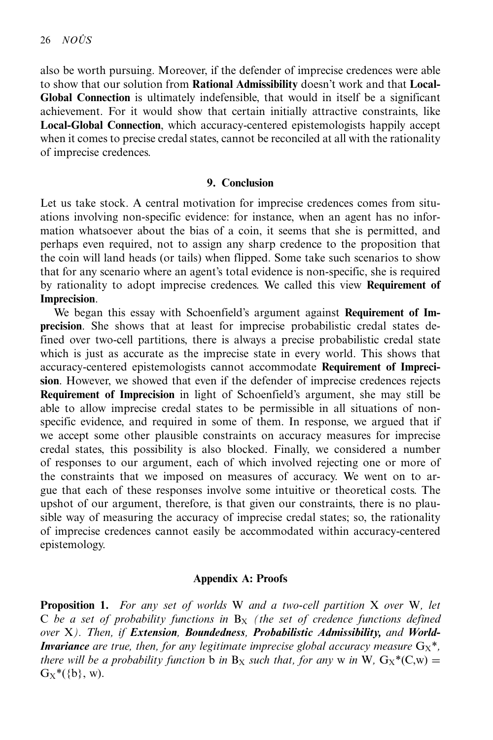also be worth pursuing. Moreover, if the defender of imprecise credences were able to show that our solution from **Rational Admissibility** doesn't work and that **Local-Global Connection** is ultimately indefensible, that would in itself be a significant achievement. For it would show that certain initially attractive constraints, like **Local-Global Connection**, which accuracy-centered epistemologists happily accept when it comes to precise credal states, cannot be reconciled at all with the rationality of imprecise credences.

## **9. Conclusion**

Let us take stock. A central motivation for imprecise credences comes from situations involving non-specific evidence: for instance, when an agent has no information whatsoever about the bias of a coin, it seems that she is permitted, and perhaps even required, not to assign any sharp credence to the proposition that the coin will land heads (or tails) when flipped. Some take such scenarios to show that for any scenario where an agent's total evidence is non-specific, she is required by rationality to adopt imprecise credences. We called this view **Requirement of Imprecision**.

We began this essay with Schoenfield's argument against **Requirement of Imprecision**. She shows that at least for imprecise probabilistic credal states defined over two-cell partitions, there is always a precise probabilistic credal state which is just as accurate as the imprecise state in every world. This shows that accuracy-centered epistemologists cannot accommodate **Requirement of Imprecision**. However, we showed that even if the defender of imprecise credences rejects **Requirement of Imprecision** in light of Schoenfield's argument, she may still be able to allow imprecise credal states to be permissible in all situations of nonspecific evidence, and required in some of them. In response, we argued that if we accept some other plausible constraints on accuracy measures for imprecise credal states, this possibility is also blocked. Finally, we considered a number of responses to our argument, each of which involved rejecting one or more of the constraints that we imposed on measures of accuracy. We went on to argue that each of these responses involve some intuitive or theoretical costs. The upshot of our argument, therefore, is that given our constraints, there is no plausible way of measuring the accuracy of imprecise credal states; so, the rationality of imprecise credences cannot easily be accommodated within accuracy-centered epistemology.

## **Appendix A: Proofs**

**Proposition 1.** *For any set of worlds* W *and a two-cell partition* X *over* W*, let* C *be a set of probability functions in* BX *(the set of credence functions defined over* X*). Then, if Extension, Boundedness, Probabilistic Admissibility, and World-Invariance* are true, then, for any legitimate imprecise global accuracy measure  $G_X^*$ , *there will be a probability function* b *in*  $B_X$  *such that, for any* w *in* W,  $G_X^*(C,w)$  =  $G_X^{\ast}(\{b\}, w)$ .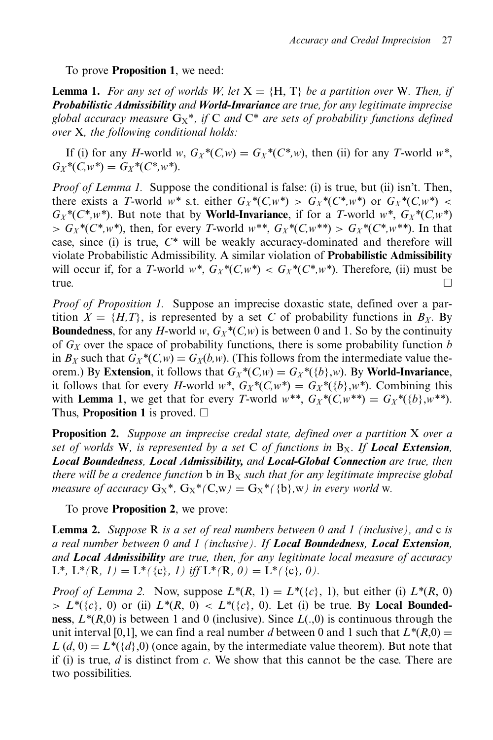To prove **Proposition 1**, we need:

**Lemma 1.** For any set of worlds W, let  $X = \{H, T\}$  be a partition over W. Then, if *Probabilistic Admissibility and World-Invariance are true, for any legitimate imprecise global accuracy measure*  $G_X^*$ , if C and  $C^*$  are sets of probability functions defined *over* X*, the following conditional holds:*

If (i) for any *H*-world *w*,  $G_X^*(C,w) = G_X^*(C^*,w)$ , then (ii) for any *T*-world  $w^*$ ,  $G_X^*(C, w^*) = G_X^*(C^*, w^*)$ .

*Proof of Lemma 1.* Suppose the conditional is false: (i) is true, but (ii) isn't. Then, there exists a *T*-world  $w^*$  s.t. either  $G_X^*(C,w^*) > G_X^*(C^*,w^*)$  or  $G_X^*(C,w^*)$  <  $G_X^*(C^*,w^*)$ . But note that by **World-Invariance**, if for a *T*-world  $w^*, G_X^*(C,w^*)$  $> G_X^*(C^*, w^*)$ , then, for every *T*-world  $w^{**}$ ,  $G_X^*(C, w^{**}) > G_X^*(C^*, w^{**})$ . In that case, since (i) is true, *C\** will be weakly accuracy-dominated and therefore will violate Probabilistic Admissibility. A similar violation of **Probabilistic Admissibility** will occur if, for a *T*-world  $w^*$ ,  $G_X^*(C,w^*) < G_X^*(C^*,w^*)$ . Therefore, (ii) must be true.  $\Box$  $\Box$ 

*Proof of Proposition 1.* Suppose an imprecise doxastic state, defined over a partition  $X = \{H, T\}$ , is represented by a set C of probability functions in  $B_X$ . By **Boundedness**, for any *H*-world *w*,  $G_X^*(C,w)$  is between 0 and 1. So by the continuity of *GX* over the space of probability functions, there is some probability function *b* in  $B_X$  such that  $G_X^*(C, w) = G_X(b, w)$ . (This follows from the intermediate value theorem.) By **Extension**, it follows that  $G_X^*(C,w) = G_X^*(\{b\},w)$ . By **World-Invariance**, it follows that for every *H*-world  $w^*$ ,  $G_X^*(C,w^*) = G_X^*(b)$ ,  $w^*$ ). Combining this with **Lemma 1**, we get that for every *T*-world  $w^{**}$ ,  $G_X^*(C,w^{**}) = G_X^*(b)$ ,  $w^{**}$ ). Thus, **Proposition 1** is proved.  $\Box$ 

**Proposition 2.** *Suppose an imprecise credal state, defined over a partition* X *over a* set of worlds W, is represented by a set C of functions in  $B_X$ . If **Local Extension**, *Local Boundedness, Local Admissibility, and Local-Global Connection are true, then there will be a credence function* b *in* B<sub>X</sub> *such that for any legitimate imprecise global measure of accuracy*  $G_X^*$ ,  $G_X^*(C,w) = G_X^*(b)$ , *w*) in every world w.

To prove **Proposition 2**, we prove:

**Lemma 2.** *Suppose* R *is a set of real numbers between 0 and 1 (inclusive), and* c *is a real number between 0 and 1 (inclusive). If Local Boundedness, Local Extension, and Local Admissibility are true, then, for any legitimate local measure of accuracy*  $L^*$ ,  $L^*(R, 1) = L^*(\{c\}, 1)$  iff  $L^*(R, 0) = L^*(\{c\}, 0)$ .

*Proof of Lemma 2.* Now, suppose  $L^*(R, 1) = L^*(\{c\}, 1)$ , but either (i)  $L^*(R, 0)$  $> L^*(\{c\}, 0)$  or (ii)  $L^*(R, 0) < L^*(\{c\}, 0)$ . Let (i) be true. By **Local Boundedness**, *L\**(*R*,0) is between 1 and 0 (inclusive). Since *L*(.,0) is continuous through the unit interval [0,1], we can find a real number *d* between 0 and 1 such that  $L^*(R,0)$  =  $L(d, 0) = L^*(d, 0)$  (once again, by the intermediate value theorem). But note that if (i) is true, *d* is distinct from *c*. We show that this cannot be the case. There are two possibilities.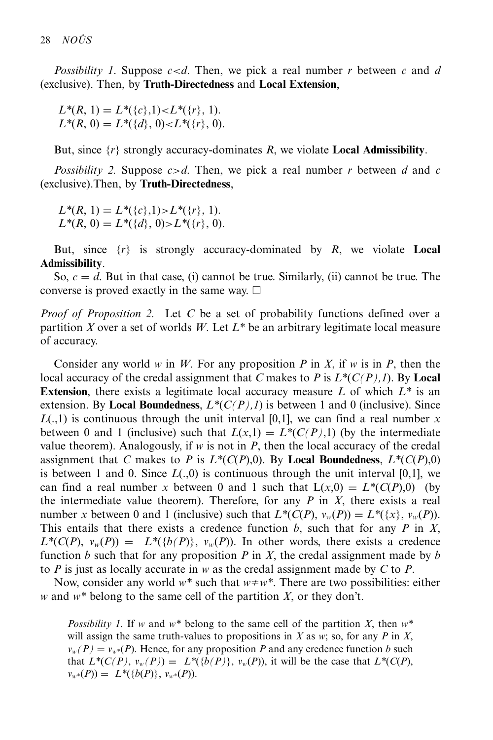*Possibility 1*. Suppose *c*<*d*. Then, we pick a real number *r* between *c* and *d* (exclusive). Then, by **Truth-Directedness** and **Local Extension**,

 $L^*(R, 1) = L^*(\{c\}, 1) \lt L^*(\{r\}, 1).$  $L^*(R, 0) = L^*(\{d\}, 0) < L^*(\{r\}, 0).$ 

But, since  $\{r\}$  strongly accuracy-dominates *R*, we violate **Local Admissibility**.

*Possibility 2.* Suppose *c*>*d*. Then, we pick a real number *r* between *d* and *c* (exclusive).Then, by **Truth-Directedness**,

 $L^*(R, 1) = L^*(\{c\}, 1) > L^*(\{r\}, 1).$  $L^*(R, 0) = L^*(\{d\}, 0) > L^*(\{r\}, 0).$ 

But, since {*r*} is strongly accuracy-dominated by *R*, we violate **Local Admissibility**.

So,  $c = d$ . But in that case, (i) cannot be true. Similarly, (ii) cannot be true. The converse is proved exactly in the same way.  $\square$ 

*Proof of Proposition 2.* Let *C* be a set of probability functions defined over a partition *X* over a set of worlds *W*. Let *L\** be an arbitrary legitimate local measure of accuracy.

Consider any world *w* in *W*. For any proposition *P* in *X*, if *w* is in *P*, then the local accuracy of the credal assignment that *C* makes to *P* is *L\**(*C(P),1*). By **Local Extension**, there exists a legitimate local accuracy measure *L* of which *L\** is an extension. By **Local Boundedness**,  $L^*(C(P), I)$  is between 1 and 0 (inclusive). Since  $L(.,1)$  is continuous through the unit interval [0,1], we can find a real number *x* between 0 and 1 (inclusive) such that  $L(x,1) = L^*(C(P),1)$  (by the intermediate value theorem). Analogously, if  $w$  is not in  $P$ , then the local accuracy of the credal assignment that *C* makes to *P* is  $L^*(C(P),0)$ . By **Local Boundedness**,  $L^*(C(P),0)$ is between 1 and 0. Since  $L(0,0)$  is continuous through the unit interval [0,1], we can find a real number *x* between 0 and 1 such that  $L(x,0) = L^*(C(P),0)$  (by the intermediate value theorem). Therefore, for any  $P$  in  $X$ , there exists a real number *x* between 0 and 1 (inclusive) such that  $L^*(C(P), v_w(P)) = L^*(\{x\}, v_w(P)).$ This entails that there exists a credence function *b*, such that for any *P* in *X*,  $L^*(C(P), v_w(P)) = L^*(\{b(P)\}, v_w(P))$ . In other words, there exists a credence function *b* such that for any proposition *P* in *X*, the credal assignment made by *b* to *P* is just as locally accurate in *w* as the credal assignment made by *C* to *P*.

Now, consider any world  $w^*$  such that  $w \neq w^*$ . There are two possibilities: either *w* and *w\** belong to the same cell of the partition *X*, or they don't.

*Possibility 1*. If *w* and *w\** belong to the same cell of the partition *X*, then *w\** will assign the same truth-values to propositions in *X* as *w*; so, for any *P* in *X*,  $v_w(P) = v_w(P)$ . Hence, for any proposition *P* and any credence function *b* such that  $L^*(C(P), v_w(P)) = L^*(\{b(P)\}, v_w(P))$ , it will be the case that  $L^*(C(P),$  $v_{w^*}(P) = L^*(\{b(P)\}, v_{w^*}(P)).$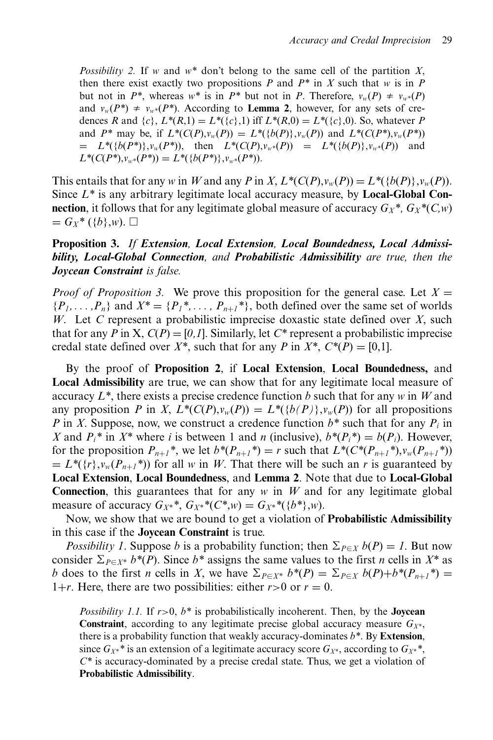*Possibility 2.* If *w* and *w\** don't belong to the same cell of the partition *X*, then there exist exactly two propositions  $P$  and  $P^*$  in  $X$  such that  $w$  is in  $P$ but not in  $P^*$ , whereas  $w^*$  is in  $P^*$  but not in *P*. Therefore,  $v_w(P) \neq v_{w^*}(P)$ and  $v_w(P^*) \neq v_{w^*}(P^*)$ . According to **Lemma 2**, however, for any sets of credences *R* and  $\{c\}$ ,  $L^*(R,1) = L^*(\{c\},1)$  iff  $L^*(R,0) = L^*(\{c\},0)$ . So, whatever *P* and *P*\* may be, if  $L^*(C(P), v_w(P)) = L^*( {\{b(P)\}, v_w(P))}$  and  $L^*(C(P^*), v_w(P^*))$  $= L^*(\{b(P^*)\}, \nu_w(P^*))$ , then  $L^*(C(P), \nu_w*(P)) = L^*(\{b(P)\}, \nu_w*(P))$  and  $L^*(C(P^*), \nu_{w^*}(P^*)) = L^*(\{b(P^*)\}, \nu_{w^*}(P^*)).$ 

This entails that for any *w* in *W* and any *P* in *X*,  $L^*(C(P), v_w(P)) = L^*( {\{b(P)\}\, v_w(P))}.$ Since *L\** is any arbitrary legitimate local accuracy measure, by **Local-Global Connection**, it follows that for any legitimate global measure of accuracy  $G_X^*$ ,  $G_X^*(C, w)$  $=G_X^*(\{b\}, w)$ .  $\square$ 

**Proposition 3.** *If Extension, Local Extension, Local Boundedness, Local Admissibility, Local-Global Connection, and Probabilistic Admissibility are true, then the Joycean Constraint is false.*

*Proof of Proposition 3.* We prove this proposition for the general case. Let  $X =$  ${P_1, \ldots, P_n}$  and  $X^* = {P_1^*, \ldots, P_{n+1}^*}$ , both defined over the same set of worlds *W*. Let *C* represent a probabilistic imprecise doxastic state defined over *X*, such that for any *P* in X,  $C(P) = [0, 1]$ . Similarly, let  $C^*$  represent a probabilistic imprecise credal state defined over  $X^*$ , such that for any *P* in  $X^*$ ,  $C^*(P) = [0,1]$ .

By the proof of **Proposition 2**, if **Local Extension**, **Local Boundedness,** and **Local Admissibility** are true, we can show that for any legitimate local measure of accuracy *L\**, there exists a precise credence function *b* such that for any *w* in *W* and any proposition *P* in *X*,  $L^*(C(P), v_w(P)) = L^*(\{b(P)\}, v_w(P))$  for all propositions *P* in *X*. Suppose, now, we construct a credence function *b\** such that for any *Pi* in *X* and  $P_i^*$  in  $X^*$  where *i* is between 1 and *n* (inclusive),  $b^*(P_i^*) = b(P_i)$ . However, for the proposition  $P_{n+1}^*$ , we let  $b^*(P_{n+1}^*) = r$  such that  $L^*(C^*(P_{n+1}^*)$ ,  $v_w(P_{n+1}^*)$  $= L^*(r)$ ,  $v_w(P_{n+1},))$  for all *w* in *W*. That there will be such an *r* is guaranteed by **Local Extension**, **Local Boundedness**, and **Lemma 2**. Note that due to **Local-Global Connection**, this guarantees that for any *w* in *W* and for any legitimate global measure of accuracy  $G_{X^*}^*$ ,  $G_{X^*}^*(C^*, w) = G_{X^*}^*(\{b^*\}, w)$ .

Now, we show that we are bound to get a violation of **Probabilistic Admissibility** in this case if the **Joycean Constraint** is true.

*Possibility 1*. Suppose *b* is a probability function; then  $\Sigma_{P \in X}$   $b(P) = 1$ . But now consider  $\Sigma_{P \in X^*} b^*(P)$ . Since  $b^*$  assigns the same values to the first *n* cells in  $X^*$  as *b* does to the first *n* cells in *X*, we have  $\Sigma_{P \in X^*} b^*(P) = \Sigma_{P \in X} b(P) + b^*(P_{n+1}^*) =$ 1+*r*. Here, there are two possibilities: either  $r > 0$  or  $r = 0$ .

*Possibility 1.1.* If *r*>0, *b\** is probabilistically incoherent. Then, by the **Joycean Constraint**, according to any legitimate precise global accuracy measure  $G_{X^*}$ , there is a probability function that weakly accuracy-dominates *b\**. By **Extension**, since  $G_{X^*}$  is an extension of a legitimate accuracy score  $G_{X^*}$ , according to  $G_{X^*}$ <sup>\*</sup>, *C\** is accuracy-dominated by a precise credal state. Thus, we get a violation of **Probabilistic Admissibility**.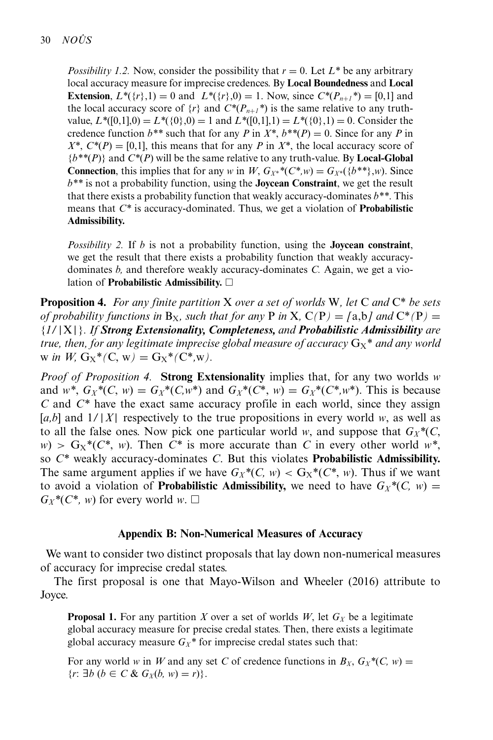*Possibility 1.2.* Now, consider the possibility that  $r = 0$ . Let  $L^*$  be any arbitrary local accuracy measure for imprecise credences. By **Local Boundedness** and **Local Extension**,  $L^*(r,1) = 0$  and  $L^*(r,0) = 1$ . Now, since  $C^*(P_{n+1}^*) = [0,1]$  and the local accuracy score of  $\{r\}$  and  $C^*(P_{n+1}^*)$  is the same relative to any truthvalue,  $L^*(0,1,0) = L^*(0,0,0) = 1$  and  $L^*(0,1,1) = L^*(0,1) = 0$ . Consider the credence function  $b^{**}$  such that for any *P* in  $X^*$ ,  $b^{**}(P) = 0$ . Since for any *P* in  $X^*$ ,  $C^*(P) = [0,1]$ , this means that for any *P* in  $X^*$ , the local accuracy score of {*b\*\**(*P*)} and *C\**(*P*) will be the same relative to any truth-value. By **Local-Global Connection**, this implies that for any *w* in *W*,  $G_{X^*}^*(C^*, w) = G_{X^*}({b^{**}}), w$ . Since *b\*\** is not a probability function, using the **Joycean Constraint**, we get the result that there exists a probability function that weakly accuracy-dominates *b\*\**. This means that *C\** is accuracy-dominated. Thus, we get a violation of **Probabilistic Admissibility.**

*Possibility 2.* If *b* is not a probability function, using the **Joycean constraint**, we get the result that there exists a probability function that weakly accuracydominates *b,* and therefore weakly accuracy-dominates *C.* Again, we get a violation of **Probabilistic Admissibility.**  $\Box$ 

**Proposition 4.** *For any finite partition* X *over a set of worlds* W*, let* C *and* C\* *be sets of probability functions in*  $B_X$ *, such that for any* P *in* X,  $C(P) = \{a,b\}$  *and*  $C^*(P) =$ *{1/|*X*|}. If Strong Extensionality, Completeness, and Probabilistic Admissibility are true, then, for any legitimate imprecise global measure of accuracy*  $G_X^*$  *and any world*  $w \text{ in } W$ ,  $G_X^*(C, w) = G_X^*(C^*, w)$ .

*Proof of Proposition 4.* **Strong Extensionality** implies that, for any two worlds *w* and  $w^*$ ,  $G_X^*(C, w) = G_X^*(C, w^*)$  and  $G_X^*(C^*, w) = G_X^*(C^*, w^*)$ . This is because *C* and *C\** have the exact same accuracy profile in each world, since they assign  $[a,b]$  and  $1/|X|$  respectively to the true propositions in every world *w*, as well as to all the false ones. Now pick one particular world *w*, and suppose that  $G_X^*(C)$ ,  $w$ ) >  $G_X^*(C^*, w)$ . Then  $C^*$  is more accurate than *C* in every other world  $w^*$ , so *C\** weakly accuracy-dominates *C*. But this violates **Probabilistic Admissibility.** The same argument applies if we have  $G_X^*(C, w) < G_X^*(C^*, w)$ . Thus if we want to avoid a violation of **Probabilistic Admissibility**, we need to have  $G_X^*(C, w) =$  $G_X^*(C^*, w)$  for every world  $w$ .  $\square$ 

## **Appendix B: Non-Numerical Measures of Accuracy**

We want to consider two distinct proposals that lay down non-numerical measures of accuracy for imprecise credal states.

The first proposal is one that Mayo-Wilson and Wheeler (2016) attribute to Joyce.

**Proposal 1.** For any partition *X* over a set of worlds *W*, let  $G_X$  be a legitimate global accuracy measure for precise credal states. Then, there exists a legitimate global accuracy measure  $G_X^*$  for imprecise credal states such that:

For any world *w* in *W* and any set *C* of credence functions in  $B_X$ ,  $G_X^*(C, w) =$  ${r: \exists b \ (b \in C \& G_X(b, w) = r)}.$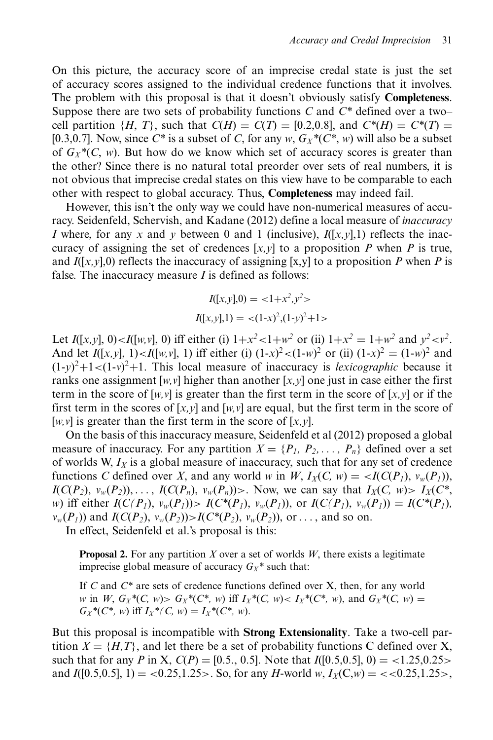On this picture, the accuracy score of an imprecise credal state is just the set of accuracy scores assigned to the individual credence functions that it involves. The problem with this proposal is that it doesn't obviously satisfy **Completeness**. Suppose there are two sets of probability functions *C* and *C\** defined over a two– cell partition  $\{H, T\}$ , such that  $C(H) = C(T) = [0.2, 0.8]$ , and  $C^*(H) = C^*(T) =$ [0.3,0.7]. Now, since  $C^*$  is a subset of *C*, for any  $w$ ,  $G_X^*(C^*, w)$  will also be a subset of  $G_X^*(C, w)$ . But how do we know which set of accuracy scores is greater than the other? Since there is no natural total preorder over sets of real numbers, it is not obvious that imprecise credal states on this view have to be comparable to each other with respect to global accuracy. Thus, **Completeness** may indeed fail.

However, this isn't the only way we could have non-numerical measures of accuracy. Seidenfeld, Schervish, and Kadane (2012) define a local measure of *inaccuracy I* where, for any *x* and *y* between 0 and 1 (inclusive),  $I([x, y], 1)$  reflects the inaccuracy of assigning the set of credences  $[x, y]$  to a proposition *P* when *P* is true, and  $I([x,y],0)$  reflects the inaccuracy of assigning [x,y] to a proposition *P* when *P* is false. The inaccuracy measure *I* is defined as follows:

$$
I([x, y], 0) = <1+x^2, y^2>
$$
  

$$
I([x, y], 1) = <(1-x)^2, (1-y)^2 + 1>
$$

Let  $I([x, y], 0) < I([w, y], 0)$  iff either (i)  $1 + x^2 < 1 + w^2$  or (ii)  $1 + x^2 = 1 + w^2$  and  $y^2 < y^2$ . And let  $I([x,y], 1) < I([w,v], 1)$  iff either (i)  $(1-x)^2 < (1-w)^2$  or (ii)  $(1-x)^2 = (1-w)^2$  and  $(1-y)^2+1< (1-y)^2+1$ . This local measure of inaccuracy is *lexicographic* because it ranks one assignment  $[w, v]$  higher than another  $[x, y]$  one just in case either the first term in the score of  $[w, v]$  is greater than the first term in the score of  $[x, y]$  or if the first term in the scores of  $[x, y]$  and  $[w, v]$  are equal, but the first term in the score of [*w,v*] is greater than the first term in the score of [*x,y*].

On the basis of this inaccuracy measure, Seidenfeld et al (2012) proposed a global measure of inaccuracy. For any partition  $X = \{P_1, P_2, \ldots, P_n\}$  defined over a set of worlds W,  $I_X$  is a global measure of inaccuracy, such that for any set of credence functions *C* defined over *X*, and any world *w* in *W*,  $I_X(C, w) = \langle I(C(P_1), v_w(P_1)) \rangle$ , *I*(*C*(*P<sub>2</sub>*), *vw*(*P<sub>2</sub>*)), ..., *I*(*C*(*P<sub>n</sub>*), *v<sub>w</sub>*(*P<sub>n</sub>*))>. Now, we can say that *I<sub>X</sub>*(*C, w*)> *I<sub>X</sub>*(*C\**, *w*) iff either  $I(C(P_1), v_w(P_1)) > I(C^*(P_1), v_w(P_1))$ , or  $I(C(P_1), v_w(P_1)) = I(C^*(P_1),$  $v_w(P_1)$ ) and  $I(C(P_2), v_w(P_2)) > I(C^*(P_2), v_w(P_2))$ , or ..., and so on.

In effect, Seidenfeld et al.'s proposal is this:

**Proposal 2.** For any partition *X* over a set of worlds *W*, there exists a legitimate imprecise global measure of accuracy  $G_X^*$  such that:

If *C* and *C\** are sets of credence functions defined over X, then, for any world *w* in *W*,  $G_X^*(C, w) > G_X^*(C^*, w)$  iff  $I_X^*(C, w) < I_X^*(C^*, w)$ , and  $G_X^*(C, w) =$  $G_X^*(C^*, w)$  iff  $I_X^*(C, w) = I_X^*(C^*, w)$ .

But this proposal is incompatible with **Strong Extensionality**. Take a two-cell partition  $X = \{H, T\}$ , and let there be a set of probability functions C defined over X, such that for any *P* in X,  $C(P) = [0.5, 0.5]$ . Note that  $I([0.5, 0.5], 0) = <1.25,0.25>$ and  $I([0.5, 0.5], 1) = <0.25, 1.25>$ . So, for any *H*-world *w*,  $I_X(C, w) = <0.25, 1.25>$ ,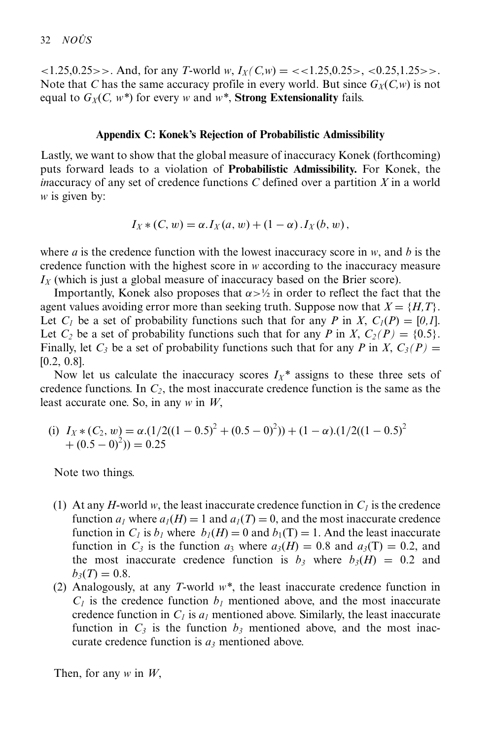$\langle 1.25, 0.25 \rangle$ . And, for any *T*-world *w*,  $I_X(C,w) = \langle 1.25, 0.25 \rangle, \langle 0.25, 1.25 \rangle$ . Note that *C* has the same accuracy profile in every world. But since  $G_X(C,w)$  is not equal to  $G_X(C, w^*)$  for every *w* and  $w^*$ , **Strong Extensionality** fails.

## **Appendix C: Konek's Rejection of Probabilistic Admissibility**

Lastly, we want to show that the global measure of inaccuracy Konek (forthcoming) puts forward leads to a violation of **Probabilistic Admissibility.** For Konek, the *in*accuracy of any set of credence functions *C* defined over a partition *X* in a world *w* is given by:

$$
I_X * (C, w) = \alpha \cdot I_X(a, w) + (1 - \alpha) \cdot I_X(b, w),
$$

where *a* is the credence function with the lowest inaccuracy score in *w*, and *b* is the credence function with the highest score in *w* according to the inaccuracy measure *IX* (which is just a global measure of inaccuracy based on the Brier score).

Importantly, Konek also proposes that  $\alpha$  > ½ in order to reflect the fact that the agent values avoiding error more than seeking truth. Suppose now that  $X = \{H, T\}$ . Let  $C_1$  be a set of probability functions such that for any *P* in *X*,  $C_1(P) = [0,1]$ . Let  $C_2$  be a set of probability functions such that for any *P* in *X*,  $C_2(P) = \{0.5\}$ . Finally, let  $C_3$  be a set of probability functions such that for any *P* in *X*,  $C_3(P)$  = [0.2, 0.8].

Now let us calculate the inaccuracy scores  $I_X^*$  assigns to these three sets of credence functions. In  $C_2$ , the most inaccurate credence function is the same as the least accurate one. So, in any *w* in *W*,

(i)  $I_X * (C_2, w) = \alpha \cdot (1/2((1 - 0.5)^2 + (0.5 - 0)^2)) + (1 - \alpha) \cdot (1/2((1 - 0.5)^2))$  $+ (0.5 - 0)^2) = 0.25$ 

Note two things.

- (1) At any *H*-world *w*, the least inaccurate credence function in  $C<sub>l</sub>$  is the credence function  $a_1$  where  $a_1(H) = 1$  and  $a_1(T) = 0$ , and the most inaccurate credence function in  $C_1$  is  $b_1$  where  $b_1(H) = 0$  and  $b_1(T) = 1$ . And the least inaccurate function in  $C_3$  is the function  $a_3$  where  $a_3(H) = 0.8$  and  $a_3(T) = 0.2$ , and the most inaccurate credence function is  $b_3$  where  $b_3(H) = 0.2$  and  $b_3(T) = 0.8$ .
- (2) Analogously, at any *T*-world *w\**, the least inaccurate credence function in  $C_1$  is the credence function  $b_1$  mentioned above, and the most inaccurate credence function in  $C_l$  is  $a_l$  mentioned above. Similarly, the least inaccurate function in  $C_3$  is the function  $b_3$  mentioned above, and the most inaccurate credence function is  $a_3$  mentioned above.

Then, for any *w* in *W*,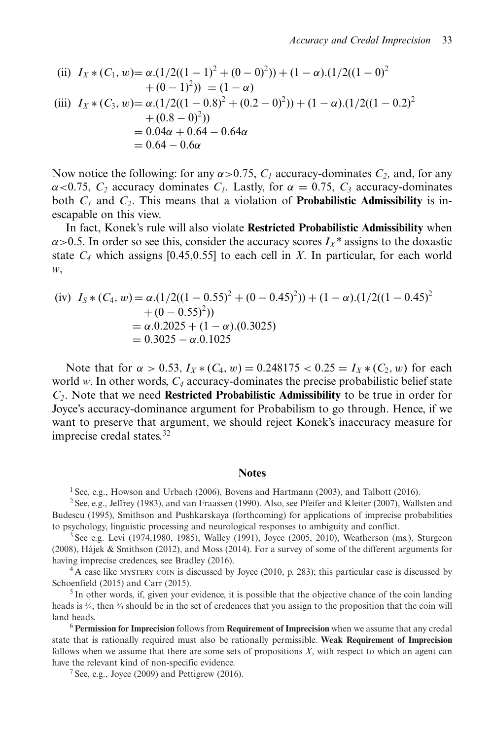(ii) 
$$
I_X * (C_1, w) = \alpha.(1/2((1-1)^2 + (0-0)^2)) + (1-\alpha).(1/2((1-0)^2 + (0-1)^2)) = (1-\alpha)
$$
  
\n(iii)  $I_X * (C_3, w) = \alpha.(1/2((1-0.8)^2 + (0.2-0)^2)) + (1-\alpha).(1/2((1-0.2)^2 + (0.8-0)^2))$   
\n $= 0.04\alpha + 0.64 - 0.64\alpha$   
\n $= 0.64 - 0.6\alpha$ 

Now notice the following: for any  $\alpha > 0.75$ ,  $C_l$  accuracy-dominates  $C_2$ , and, for any  $\alpha$ <0.75,  $C_2$  accuracy dominates  $C_1$ . Lastly, for  $\alpha = 0.75$ ,  $C_3$  accuracy-dominates both  $C_1$  and  $C_2$ . This means that a violation of **Probabilistic Admissibility** is inescapable on this view.

In fact, Konek's rule will also violate **Restricted Probabilistic Admissibility** when  $\alpha$  > 0.5. In order so see this, consider the accuracy scores  $I_X^*$  assigns to the doxastic state  $C_4$  which assigns [0.45,0.55] to each cell in *X*. In particular, for each world *w*,

(iv) 
$$
I_S * (C_4, w) = \alpha.(1/2((1 - 0.55)^2 + (0 - 0.45)^2)) + (1 - \alpha).(1/2((1 - 0.45)^2 + (0 - 0.55)^2))
$$
  
=  $\alpha.0.2025 + (1 - \alpha).(0.3025)$   
= 0.3025 -  $\alpha.0.1025$ 

Note that for  $\alpha > 0.53$ ,  $I_X * (C_4, w) = 0.248175 < 0.25 = I_X * (C_2, w)$  for each world *w*. In other words, *C4* accuracy-dominates the precise probabilistic belief state *C2*. Note that we need **Restricted Probabilistic Admissibility** to be true in order for Joyce's accuracy-dominance argument for Probabilism to go through. Hence, if we want to preserve that argument, we should reject Konek's inaccuracy measure for imprecise credal states.<sup>32</sup>

#### **Notes**

<sup>1</sup> See, e.g., Howson and Urbach (2006), Bovens and Hartmann (2003), and Talbott (2016).

<sup>2</sup> See, e.g., Jeffrey (1983), and van Fraassen (1990). Also, see Pfeifer and Kleiter (2007), Wallsten and Budescu (1995), Smithson and Pushkarskaya (forthcoming) for applications of imprecise probabilities to psychology, linguistic processing and neurological responses to ambiguity and conflict.

 $3$  See e.g. Levi (1974,1980, 1985), Walley (1991), Joyce (2005, 2010), Weatherson (ms.), Sturgeon (2008), Hajek & Smithson (2012), and Moss (2014). For a survey of some of the different arguments for ´ having imprecise credences, see Bradley (2016).

<sup>4</sup> A case like MYSTERY COIN is discussed by Joyce (2010, p. 283); this particular case is discussed by Schoenfield (2015) and Carr (2015).

 $<sup>5</sup>$  In other words, if, given your evidence, it is possible that the objective chance of the coin landing</sup> heads is ¾, then ¾ should be in the set of credences that you assign to the proposition that the coin will land heads.

<sup>6</sup> **Permission for Imprecision** follows from **Requirement of Imprecision** when we assume that any credal state that is rationally required must also be rationally permissible. **Weak Requirement of Imprecision** follows when we assume that there are some sets of propositions *X*, with respect to which an agent can have the relevant kind of non-specific evidence.

 $<sup>7</sup>$  See, e.g., Joyce (2009) and Pettigrew (2016).</sup>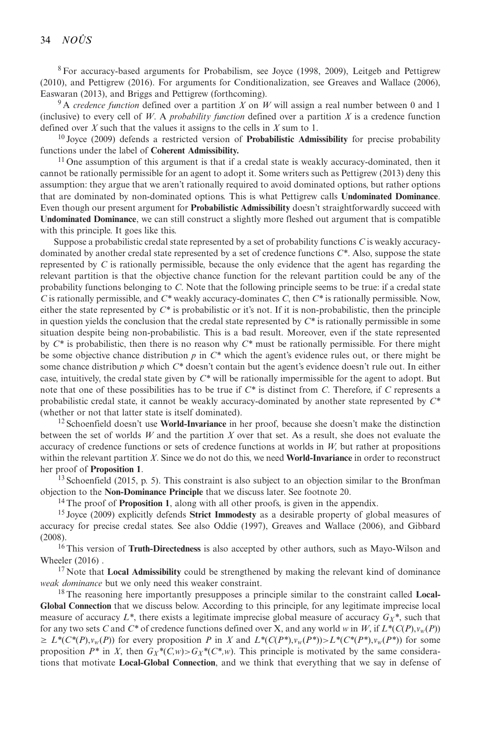## 34 *NOUS*

<sup>8</sup> For accuracy-based arguments for Probabilism, see Joyce (1998, 2009), Leitgeb and Pettigrew (2010), and Pettigrew (2016). For arguments for Conditionalization, see Greaves and Wallace (2006), Easwaran (2013), and Briggs and Pettigrew (forthcoming).

<sup>9</sup> A *credence function* defined over a partition *X* on *W* will assign a real number between 0 and 1 (inclusive) to every cell of *W*. A *probability function* defined over a partition *X* is a credence function defined over *X* such that the values it assigns to the cells in *X* sum to 1.

<sup>10</sup> Joyce (2009) defends a restricted version of **Probabilistic Admissibility** for precise probability functions under the label of **Coherent Admissibility.**

 $11$  One assumption of this argument is that if a credal state is weakly accuracy-dominated, then it cannot be rationally permissible for an agent to adopt it. Some writers such as Pettigrew (2013) deny this assumption: they argue that we aren't rationally required to avoid dominated options, but rather options that are dominated by non-dominated options. This is what Pettigrew calls **Undominated Dominance**. Even though our present argument for **Probabilistic Admissibility** doesn't straightforwardly succeed with **Undominated Dominance**, we can still construct a slightly more fleshed out argument that is compatible with this principle. It goes like this.

Suppose a probabilistic credal state represented by a set of probability functions *C* is weakly accuracydominated by another credal state represented by a set of credence functions *C\**. Also, suppose the state represented by *C* is rationally permissible, because the only evidence that the agent has regarding the relevant partition is that the objective chance function for the relevant partition could be any of the probability functions belonging to *C*. Note that the following principle seems to be true: if a credal state *C* is rationally permissible, and *C\** weakly accuracy-dominates *C*, then *C\** is rationally permissible. Now, either the state represented by *C\** is probabilistic or it's not. If it is non-probabilistic, then the principle in question yields the conclusion that the credal state represented by  $C^*$  is rationally permissible in some situation despite being non-probabilistic. This is a bad result. Moreover, even if the state represented by  $C^*$  is probabilistic, then there is no reason why  $C^*$  must be rationally permissible. For there might be some objective chance distribution *p* in *C\** which the agent's evidence rules out, or there might be some chance distribution *p* which *C\** doesn't contain but the agent's evidence doesn't rule out. In either case, intuitively, the credal state given by *C\** will be rationally impermissible for the agent to adopt. But note that one of these possibilities has to be true if *C\** is distinct from *C*. Therefore, if *C* represents a probabilistic credal state, it cannot be weakly accuracy-dominated by another state represented by *C\** (whether or not that latter state is itself dominated).

<sup>12</sup> Schoenfield doesn't use **World-Invariance** in her proof, because she doesn't make the distinction between the set of worlds *W* and the partition *X* over that set. As a result, she does not evaluate the accuracy of credence functions or sets of credence functions at worlds in *W,* but rather at propositions within the relevant partition *X*. Since we do not do this, we need **World-Invariance** in order to reconstruct her proof of **Proposition 1**.

<sup>13</sup> Schoenfield (2015, p. 5). This constraint is also subject to an objection similar to the Bronfman objection to the **Non-Dominance Principle** that we discuss later. See footnote 20.

<sup>14</sup> The proof of **Proposition 1**, along with all other proofs, is given in the appendix.

<sup>15</sup> Joyce (2009) explicitly defends **Strict Immodesty** as a desirable property of global measures of accuracy for precise credal states. See also Oddie (1997), Greaves and Wallace (2006), and Gibbard (2008).

<sup>16</sup> This version of **Truth-Directedness** is also accepted by other authors, such as Mayo-Wilson and Wheeler (2016) .

<sup>17</sup> Note that **Local Admissibility** could be strengthened by making the relevant kind of dominance *weak dominance* but we only need this weaker constraint.

<sup>18</sup> The reasoning here importantly presupposes a principle similar to the constraint called **Local-Global Connection** that we discuss below. According to this principle, for any legitimate imprecise local measure of accuracy  $L^*$ , there exists a legitimate imprecise global measure of accuracy  $G_X^*$ , such that for any two sets *C* and *C\** of credence functions defined over X, and any world *w* in *W*, if  $L^*(C(P), v_w(P))$  $\geq L^*(C^*(P), v_w(P))$  for every proposition *P* in *X* and  $L^*(C(P^*), v_w(P^*))\geq L^*(C^*(P^*), v_w(P^*))$  for some proposition  $P^*$  in *X*, then  $G_X^*(C,w) > G_X^*(C^*,w)$ . This principle is motivated by the same considerations that motivate **Local-Global Connection**, and we think that everything that we say in defense of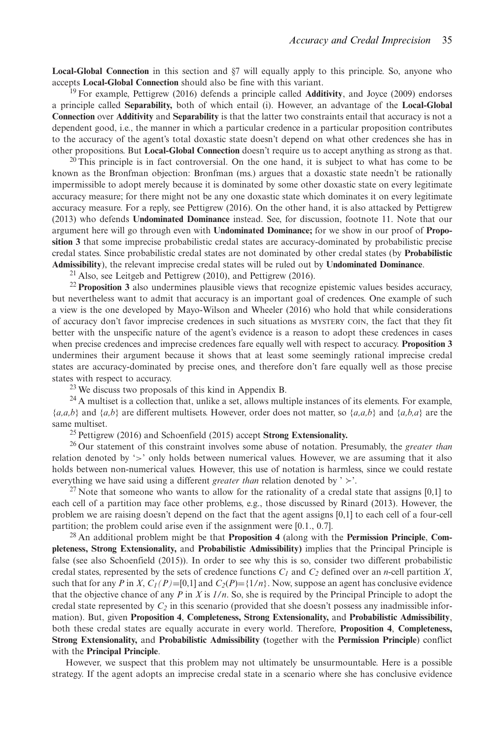**Local-Global Connection** in this section and §7 will equally apply to this principle. So, anyone who accepts **Local-Global Connection** should also be fine with this variant.

<sup>19</sup> For example, Pettigrew (2016) defends a principle called **Additivity**, and Joyce (2009) endorses a principle called **Separability,** both of which entail (i). However, an advantage of the **Local-Global Connection** over **Additivity** and **Separability** is that the latter two constraints entail that accuracy is not a dependent good, i.e., the manner in which a particular credence in a particular proposition contributes to the accuracy of the agent's total doxastic state doesn't depend on what other credences she has in other propositions. But **Local-Global Connection** doesn't require us to accept anything as strong as that.

 $20$  This principle is in fact controversial. On the one hand, it is subject to what has come to be known as the Bronfman objection: Bronfman (ms.) argues that a doxastic state needn't be rationally impermissible to adopt merely because it is dominated by some other doxastic state on every legitimate accuracy measure; for there might not be any one doxastic state which dominates it on every legitimate accuracy measure. For a reply, see Pettigrew (2016). On the other hand, it is also attacked by Pettigrew (2013) who defends **Undominated Dominance** instead. See, for discussion, footnote 11. Note that our argument here will go through even with **Undominated Dominance;** for we show in our proof of **Proposition 3** that some imprecise probabilistic credal states are accuracy-dominated by probabilistic precise credal states. Since probabilistic credal states are not dominated by other credal states (by **Probabilistic Admissibility**), the relevant imprecise credal states will be ruled out by **Undominated Dominance**.

<sup>21</sup> Also, see Leitgeb and Pettigrew (2010), and Pettigrew (2016).

<sup>22</sup> **Proposition 3** also undermines plausible views that recognize epistemic values besides accuracy, but nevertheless want to admit that accuracy is an important goal of credences. One example of such a view is the one developed by Mayo-Wilson and Wheeler (2016) who hold that while considerations of accuracy don't favor imprecise credences in such situations as MYSTERY COIN, the fact that they fit better with the unspecific nature of the agent's evidence is a reason to adopt these credences in cases when precise credences and imprecise credences fare equally well with respect to accuracy. **Proposition 3** undermines their argument because it shows that at least some seemingly rational imprecise credal states are accuracy-dominated by precise ones, and therefore don't fare equally well as those precise states with respect to accuracy.

 $23$  We discuss two proposals of this kind in Appendix B.

 $^{24}$  A multiset is a collection that, unlike a set, allows multiple instances of its elements. For example, {*a,a,b*} and {*a,b*} are different multisets. However, order does not matter, so {*a,a,b*} and {*a,b,a*} are the same multiset.

<sup>25</sup> Pettigrew (2016) and Schoenfield (2015) accept **Strong Extensionality.**

<sup>26</sup> Our statement of this constraint involves some abuse of notation. Presumably, the *greater than* relation denoted by '>' only holds between numerical values. However, we are assuming that it also holds between non-numerical values. However, this use of notation is harmless, since we could restate everything we have said using a different *greater than* relation denoted by  $\geq$ .

<sup>27</sup> Note that someone who wants to allow for the rationality of a credal state that assigns [0,1] to each cell of a partition may face other problems, e.g., those discussed by Rinard (2013). However, the problem we are raising doesn't depend on the fact that the agent assigns [0,1] to each cell of a four-cell partition; the problem could arise even if the assignment were [0.1., 0.7].

<sup>28</sup> An additional problem might be that **Proposition 4** (along with the **Permission Principle**, **Completeness, Strong Extensionality,** and **Probabilistic Admissibility)** implies that the Principal Principle is false (see also Schoenfield (2015)). In order to see why this is so, consider two different probabilistic credal states, represented by the sets of credence functions  $C_I$  and  $C_2$  defined over an *n*-cell partition *X*, such that for any *P* in *X*,  $C_1(P) = [0,1]$  and  $C_2(P) = \{1/n\}$ . Now, suppose an agent has conclusive evidence that the objective chance of any *P* in *X* is *1/n*. So, she is required by the Principal Principle to adopt the credal state represented by  $C_2$  in this scenario (provided that she doesn't possess any inadmissible information). But, given **Proposition 4**, **Completeness, Strong Extensionality,** and **Probabilistic Admissibility**, both these credal states are equally accurate in every world. Therefore, **Proposition 4**, **Completeness, Strong Extensionality,** and **Probabilistic Admissibility (**together with the **Permission Principle**) conflict with the **Principal Principle**.

However, we suspect that this problem may not ultimately be unsurmountable. Here is a possible strategy. If the agent adopts an imprecise credal state in a scenario where she has conclusive evidence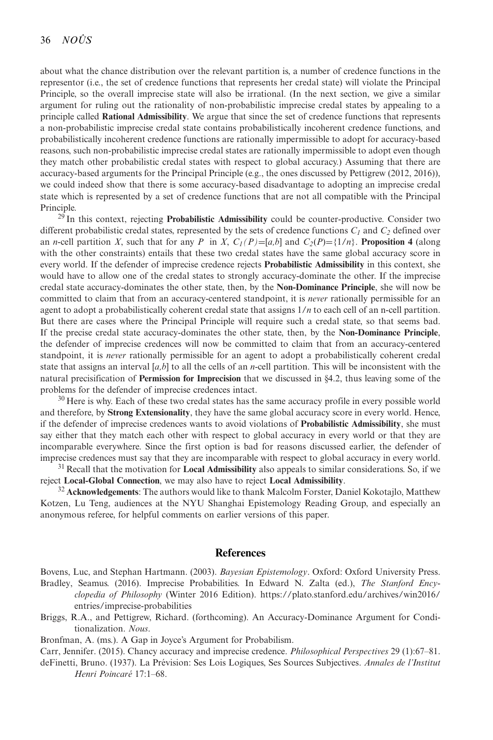about what the chance distribution over the relevant partition is, a number of credence functions in the representor (i.e., the set of credence functions that represents her credal state) will violate the Principal Principle, so the overall imprecise state will also be irrational. (In the next section, we give a similar argument for ruling out the rationality of non-probabilistic imprecise credal states by appealing to a principle called **Rational Admissibility**. We argue that since the set of credence functions that represents a non-probabilistic imprecise credal state contains probabilistically incoherent credence functions, and probabilistically incoherent credence functions are rationally impermissible to adopt for accuracy-based reasons, such non-probabilistic imprecise credal states are rationally impermissible to adopt even though they match other probabilistic credal states with respect to global accuracy.) Assuming that there are accuracy-based arguments for the Principal Principle (e.g., the ones discussed by Pettigrew (2012, 2016)), we could indeed show that there is some accuracy-based disadvantage to adopting an imprecise credal state which is represented by a set of credence functions that are not all compatible with the Principal Principle.

<sup>29</sup> In this context, rejecting **Probabilistic Admissibility** could be counter-productive. Consider two different probabilistic credal states, represented by the sets of credence functions *C1* and *C2* defined over an *n*-cell partition *X*, such that for any *P* in *X*,  $C_1(P) = [a,b]$  and  $C_2(P) = \{1/n\}$ . **Proposition 4** (along with the other constraints) entails that these two credal states have the same global accuracy score in every world. If the defender of imprecise credence rejects **Probabilistic Admissibility** in this context, she would have to allow one of the credal states to strongly accuracy-dominate the other. If the imprecise credal state accuracy-dominates the other state, then, by the **Non-Dominance Principle**, she will now be committed to claim that from an accuracy-centered standpoint, it is *never* rationally permissible for an agent to adopt a probabilistically coherent credal state that assigns 1/*n* to each cell of an n-cell partition. But there are cases where the Principal Principle will require such a credal state, so that seems bad. If the precise credal state accuracy-dominates the other state, then, by the **Non-Dominance Principle**, the defender of imprecise credences will now be committed to claim that from an accuracy-centered standpoint, it is *never* rationally permissible for an agent to adopt a probabilistically coherent credal state that assigns an interval [*a,b*] to all the cells of an *n*-cell partition. This will be inconsistent with the natural precisification of **Permission for Imprecision** that we discussed in §4.2, thus leaving some of the problems for the defender of imprecise credences intact.

<sup>30</sup> Here is why. Each of these two credal states has the same accuracy profile in every possible world and therefore, by **Strong Extensionality**, they have the same global accuracy score in every world. Hence, if the defender of imprecise credences wants to avoid violations of **Probabilistic Admissibility**, she must say either that they match each other with respect to global accuracy in every world or that they are incomparable everywhere. Since the first option is bad for reasons discussed earlier, the defender of imprecise credences must say that they are incomparable with respect to global accuracy in every world.

<sup>31</sup> Recall that the motivation for **Local Admissibility** also appeals to similar considerations. So, if we reject **Local-Global Connection**, we may also have to reject **Local Admissibility**.

<sup>32</sup> **Acknowledgements**: The authors would like to thank Malcolm Forster, Daniel Kokotajlo, Matthew Kotzen, Lu Teng, audiences at the NYU Shanghai Epistemology Reading Group, and especially an anonymous referee, for helpful comments on earlier versions of this paper.

#### **References**

Bovens, Luc, and Stephan Hartmann. (2003). *Bayesian Epistemology*. Oxford: Oxford University Press.

- Bradley, Seamus. (2016). Imprecise Probabilities. In Edward N. Zalta (ed.), *The Stanford Encyclopedia of Philosophy* (Winter 2016 Edition). https://plato.stanford.edu/archives/win2016/ entries/imprecise-probabilities
- Briggs, R.A., and Pettigrew, Richard. (forthcoming). An Accuracy-Dominance Argument for Conditionalization. *Nous*.
- Bronfman, A. (ms.). A Gap in Joyce's Argument for Probabilism.

Carr, Jennifer. (2015). Chancy accuracy and imprecise credence. *Philosophical Perspectives* 29 (1):67–81.

deFinetti, Bruno. (1937). La Prévision: Ses Lois Logiques, Ses Sources Subjectives. Annales de l'Institut *Henri Poincare´* 17:1–68.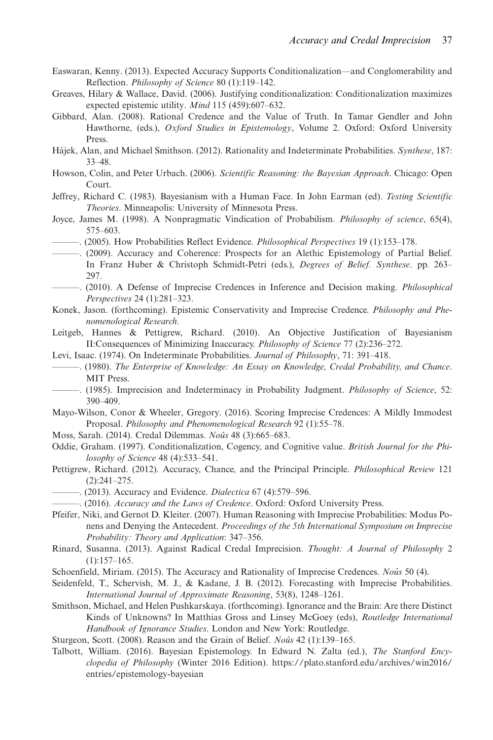- Easwaran, Kenny. (2013). Expected Accuracy Supports Conditionalization—and Conglomerability and Reflection. *Philosophy of Science* 80 (1):119–142.
- Greaves, Hilary & Wallace, David. (2006). Justifying conditionalization: Conditionalization maximizes expected epistemic utility. *Mind* 115 (459):607–632.
- Gibbard, Alan. (2008). Rational Credence and the Value of Truth. In Tamar Gendler and John Hawthorne, (eds.), *Oxford Studies in Epistemology*, Volume 2. Oxford: Oxford University Press.
- Hájek, Alan, and Michael Smithson. (2012). Rationality and Indeterminate Probabilities. Synthese, 187: 33–48.
- Howson, Colin, and Peter Urbach. (2006). *Scientific Reasoning: the Bayesian Approach*. Chicago: Open Court.
- Jeffrey, Richard C. (1983). Bayesianism with a Human Face. In John Earman (ed). *Testing Scientific Theories*. Minneapolis: University of Minnesota Press.
- Joyce, James M. (1998). A Nonpragmatic Vindication of Probabilism. *Philosophy of science*, 65(4), 575–603.
	- ———. (2005). How Probabilities Reflect Evidence. *Philosophical Perspectives* 19 (1):153–178.
- ———. (2009). Accuracy and Coherence: Prospects for an Alethic Epistemology of Partial Belief. In Franz Huber & Christoph Schmidt-Petri (eds.), *Degrees of Belief. Synthese*. pp. 263– 297.
- ———. (2010). A Defense of Imprecise Credences in Inference and Decision making. *Philosophical Perspectives* 24 (1):281–323.
- Konek, Jason. (forthcoming). Epistemic Conservativity and Imprecise Credence. *Philosophy and Phenomenological Research*.
- Leitgeb, Hannes & Pettigrew, Richard. (2010). An Objective Justification of Bayesianism II:Consequences of Minimizing Inaccuracy. *Philosophy of Science* 77 (2):236–272.

Levi, Isaac. (1974). On Indeterminate Probabilities. *Journal of Philosophy*, 71: 391–418.

- ———. (1980). *The Enterprise of Knowledge: An Essay on Knowledge, Credal Probability, and Chance*. MIT Press.
- ———. (1985). Imprecision and Indeterminacy in Probability Judgment. *Philosophy of Science*, 52: 390–409.
- Mayo-Wilson, Conor & Wheeler, Gregory. (2016). Scoring Imprecise Credences: A Mildly Immodest Proposal. *Philosophy and Phenomenological Research* 92 (1):55–78.
- Moss, Sarah. (2014). Credal Dilemmas. *Nousˆ* 48 (3):665–683.
- Oddie, Graham. (1997). Conditionalization, Cogency, and Cognitive value. *British Journal for the Philosophy of Science* 48 (4):533–541.
- Pettigrew, Richard. (2012). Accuracy, Chance, and the Principal Principle. *Philosophical Review* 121 (2):241–275.
	- ———. (2013). Accuracy and Evidence. *Dialectica* 67 (4):579–596.
	- ———. (2016). *Accuracy and the Laws of Credence*. Oxford: Oxford University Press.
- Pfeifer, Niki, and Gernot D. Kleiter. (2007). Human Reasoning with Imprecise Probabilities: Modus Ponens and Denying the Antecedent. *Proceedings of the 5th International Symposium on Imprecise Probability: Theory and Application*: 347–356.
- Rinard, Susanna. (2013). Against Radical Credal Imprecision. *Thought: A Journal of Philosophy* 2 (1):157–165.
- Schoenfield, Miriam. (2015). The Accuracy and Rationality of Imprecise Credences. *Noûs* 50 (4).
- Seidenfeld, T., Schervish, M. J., & Kadane, J. B. (2012). Forecasting with Imprecise Probabilities. *International Journal of Approximate Reasoning*, 53(8), 1248–1261.
- Smithson, Michael, and Helen Pushkarskaya. (forthcoming). Ignorance and the Brain: Are there Distinct Kinds of Unknowns? In Matthias Gross and Linsey McGoey (eds), *Routledge International Handbook of Ignorance Studies*. London and New York: Routledge.
- Sturgeon, Scott. (2008). Reason and the Grain of Belief. *Nousˆ* 42 (1):139–165.
- Talbott, William. (2016). Bayesian Epistemology. In Edward N. Zalta (ed.), *The Stanford Encyclopedia of Philosophy* (Winter 2016 Edition). https://plato.stanford.edu/archives/win2016/ entries/epistemology-bayesian